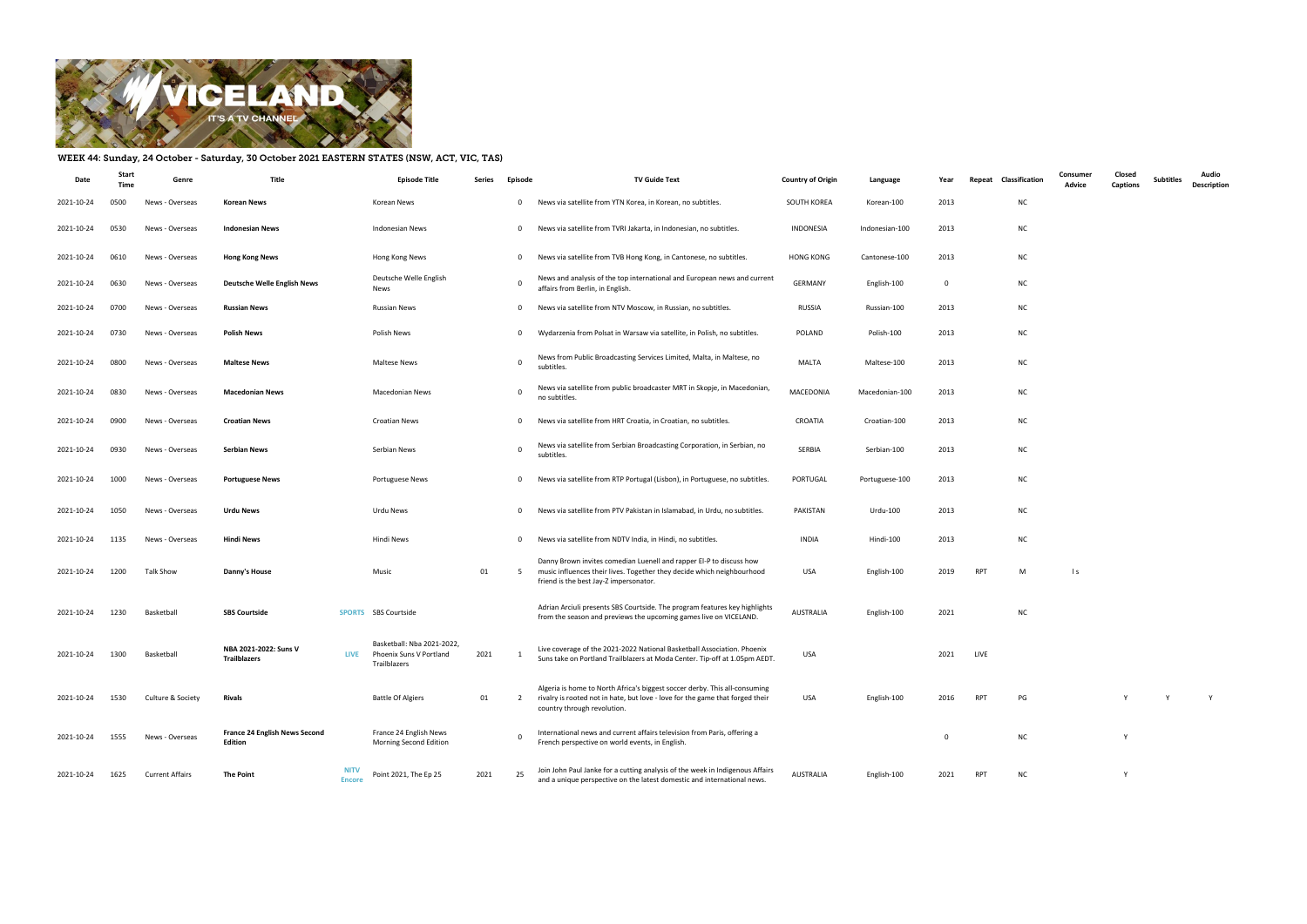

## WEEK 44: Sunday, 24 October - Saturday, 30 October 2021 EASTERN STATES (NSW, ACT, VIC, TAS)

| Date       | Start<br>Time | Genre                  | Title                                           |                              | <b>Episode Title</b>                                                  | Series | Episode        | <b>TV Guide Text</b>                                                                                                                                                                       | <b>Country of Origin</b> | Language       | Year           | Classification<br>Repeat |           | Consumer<br>Advice | Closed<br>Captions | Subtitles | Audio<br>Description |
|------------|---------------|------------------------|-------------------------------------------------|------------------------------|-----------------------------------------------------------------------|--------|----------------|--------------------------------------------------------------------------------------------------------------------------------------------------------------------------------------------|--------------------------|----------------|----------------|--------------------------|-----------|--------------------|--------------------|-----------|----------------------|
| 2021-10-24 | 0500          | News - Overseas        | <b>Korean News</b>                              |                              | Korean News                                                           |        | $\mathbf{0}$   | News via satellite from YTN Korea, in Korean, no subtitles.                                                                                                                                | SOUTH KOREA              | Korean-100     | 2013           |                          | <b>NC</b> |                    |                    |           |                      |
| 2021-10-24 | 0530          | News - Overseas        | <b>Indonesian News</b>                          |                              | Indonesian News                                                       |        | $\mathbf{0}$   | News via satellite from TVRI Jakarta, in Indonesian, no subtitles.                                                                                                                         | INDONESIA                | Indonesian-100 | 2013           |                          | <b>NC</b> |                    |                    |           |                      |
| 2021-10-24 | 0610          | News - Overseas        | <b>Hong Kong News</b>                           |                              | Hong Kong News                                                        |        | $\mathbf{0}$   | News via satellite from TVB Hong Kong, in Cantonese, no subtitles.                                                                                                                         | <b>HONG KONG</b>         | Cantonese-100  | 2013           |                          | <b>NC</b> |                    |                    |           |                      |
| 2021-10-24 | 0630          | News - Overseas        | <b>Deutsche Welle English News</b>              |                              | Deutsche Welle English<br>News                                        |        | $\mathbf 0$    | News and analysis of the top international and European news and current<br>affairs from Berlin, in English.                                                                               | <b>GERMANY</b>           | English-100    | $\overline{0}$ |                          | <b>NC</b> |                    |                    |           |                      |
| 2021-10-24 | 0700          | News - Overseas        | <b>Russian News</b>                             |                              | Russian News                                                          |        | $\mathbf 0$    | News via satellite from NTV Moscow, in Russian, no subtitles.                                                                                                                              | RUSSIA                   | Russian-100    | 2013           |                          | <b>NC</b> |                    |                    |           |                      |
| 2021-10-24 | 0730          | News - Overseas        | <b>Polish News</b>                              |                              | Polish News                                                           |        | $\mathbf{0}$   | Wydarzenia from Polsat in Warsaw via satellite, in Polish, no subtitles.                                                                                                                   | POLAND                   | Polish-100     | 2013           |                          | <b>NC</b> |                    |                    |           |                      |
| 2021-10-24 | 0800          | News - Overseas        | <b>Maltese News</b>                             |                              | Maltese News                                                          |        | $\overline{0}$ | News from Public Broadcasting Services Limited, Malta, in Maltese, no<br>subtitles                                                                                                         | <b>MALTA</b>             | Maltese-100    | 2013           |                          | <b>NC</b> |                    |                    |           |                      |
| 2021-10-24 | 0830          | News - Overseas        | <b>Macedonian News</b>                          |                              | <b>Macedonian News</b>                                                |        | $\mathbf 0$    | News via satellite from public broadcaster MRT in Skopje, in Macedonian,<br>no subtitles.                                                                                                  | MACEDONIA                | Macedonian-100 | 2013           |                          | <b>NC</b> |                    |                    |           |                      |
| 2021-10-24 | 0900          | News - Overseas        | <b>Croatian News</b>                            |                              | <b>Croatian News</b>                                                  |        | 0              | News via satellite from HRT Croatia, in Croatian, no subtitles.                                                                                                                            | CROATIA                  | Croatian-100   | 2013           |                          | <b>NC</b> |                    |                    |           |                      |
| 2021-10-24 | 0930          | News - Overseas        | <b>Serbian News</b>                             |                              | Serbian News                                                          |        | $\overline{0}$ | News via satellite from Serbian Broadcasting Corporation, in Serbian, no<br>subtitles.                                                                                                     | SERBIA                   | Serbian-100    | 2013           |                          | <b>NC</b> |                    |                    |           |                      |
| 2021-10-24 | 1000          | News - Overseas        | <b>Portuguese News</b>                          |                              | <b>Portuguese News</b>                                                |        | $\mathbf{0}$   | News via satellite from RTP Portugal (Lisbon), in Portuguese, no subtitles.                                                                                                                | PORTUGAL                 | Portuguese-100 | 2013           |                          | <b>NC</b> |                    |                    |           |                      |
| 2021-10-24 | 1050          | News - Overseas        | <b>Urdu News</b>                                |                              | Urdu News                                                             |        | $\mathbf{0}$   | News via satellite from PTV Pakistan in Islamabad, in Urdu, no subtitles.                                                                                                                  | PAKISTAN                 | Urdu-100       | 2013           |                          | <b>NC</b> |                    |                    |           |                      |
| 2021-10-24 | 1135          | News - Overseas        | <b>Hindi News</b>                               |                              | Hindi News                                                            |        | $\mathbf 0$    | News via satellite from NDTV India, in Hindi, no subtitles.                                                                                                                                | <b>INDIA</b>             | Hindi-100      | 2013           |                          | <b>NC</b> |                    |                    |           |                      |
| 2021-10-24 | 1200          | Talk Show              | Danny's House                                   |                              | Music                                                                 | 01     | 5              | Danny Brown invites comedian Luenell and rapper El-P to discuss how<br>music influences their lives. Together they decide which neighbourhood<br>friend is the best Jay-Z impersonator.    | USA                      | English-100    | 2019           | RPT                      | M         | $\vert s \vert$    |                    |           |                      |
| 2021-10-24 | 1230          | Basketball             | <b>SBS Courtside</b>                            |                              | SPORTS SBS Courtside                                                  |        |                | Adrian Arciuli presents SBS Courtside. The program features key highlights<br>from the season and previews the upcoming games live on VICELAND.                                            | <b>AUSTRALIA</b>         | English-100    | 2021           |                          | <b>NC</b> |                    |                    |           |                      |
| 2021-10-24 | 1300          | Basketball             | NBA 2021-2022: Suns V<br><b>Trailblazers</b>    | LIVE                         | Basketball: Nba 2021-2022,<br>Phoenix Suns V Portland<br>Trailblazers | 2021   |                | Live coverage of the 2021-2022 National Basketball Association. Phoenix<br>Suns take on Portland Trailblazers at Moda Center. Tip-off at 1.05pm AEDT.                                      | USA                      |                | 2021           | LIVE                     |           |                    |                    |           |                      |
| 2021-10-24 | 1530          | Culture & Society      | <b>Rivals</b>                                   |                              | <b>Battle Of Algiers</b>                                              | 01     | 2              | Algeria is home to North Africa's biggest soccer derby. This all-consuming<br>rivalry is rooted not in hate, but love - love for the game that forged their<br>country through revolution. | USA                      | English-100    | 2016           | RPT                      | PG        |                    |                    | Y         | Y                    |
| 2021-10-24 | 1555          | News - Overseas        | <b>France 24 English News Second</b><br>Edition |                              | France 24 English News<br>Morning Second Edition                      |        | 0              | International news and current affairs television from Paris, offering a<br>French perspective on world events, in English.                                                                |                          |                | $\mathbf 0$    |                          | <b>NC</b> |                    |                    |           |                      |
| 2021-10-24 | 1625          | <b>Current Affairs</b> | <b>The Point</b>                                | <b>NITV</b><br><b>Encore</b> | Point 2021, The Ep 25                                                 | 2021   | 25             | Join John Paul Janke for a cutting analysis of the week in Indigenous Affairs<br>and a unique perspective on the latest domestic and international news.                                   | AUSTRALIA                | English-100    | 2021           | RPT                      | <b>NC</b> |                    |                    |           |                      |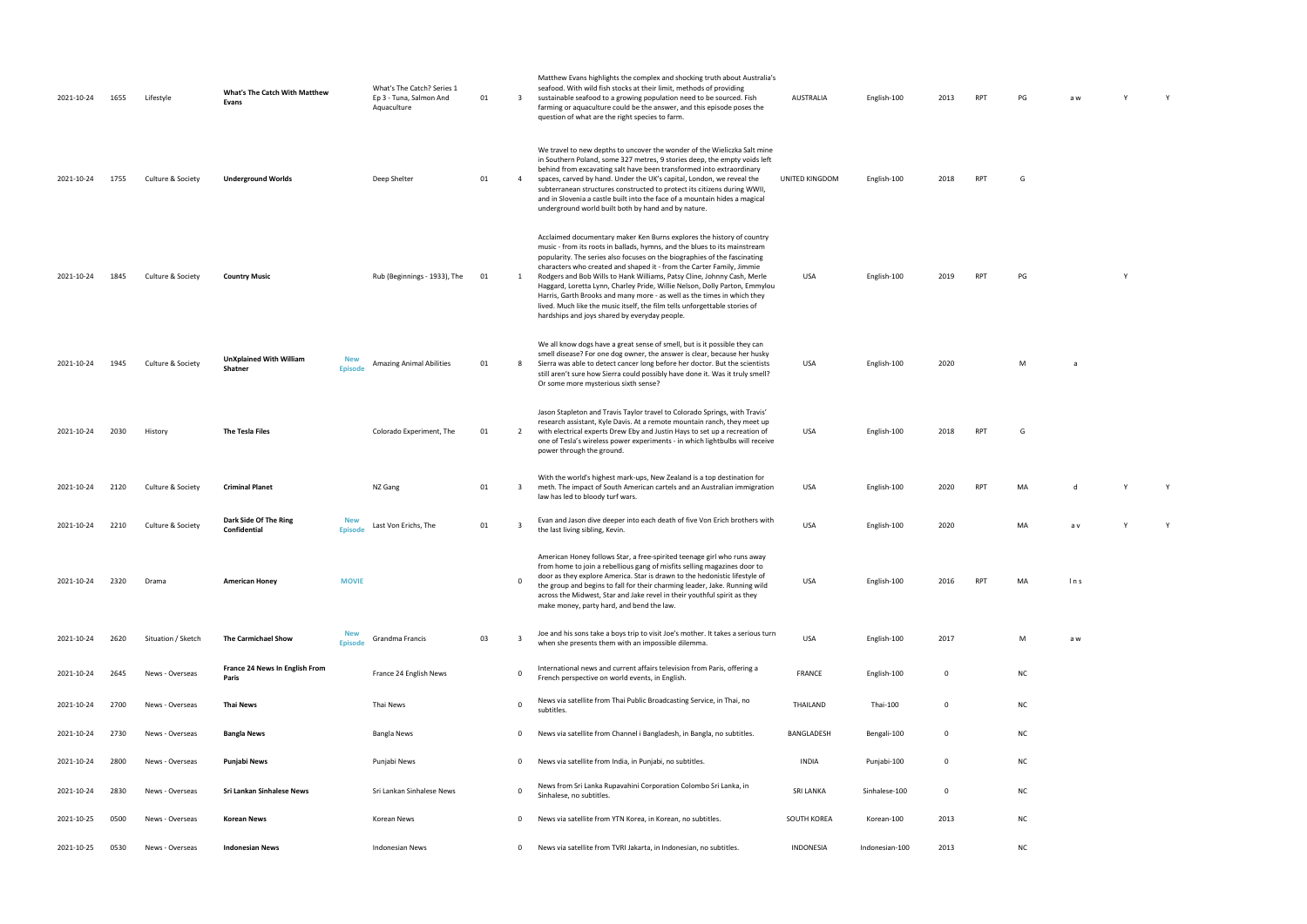| 2021-10-24 | 1655 | Lifestyle          | What's The Catch With Matthew<br>Evans    |                              | What's The Catch? Series 1<br>Ep 3 - Tuna, Salmon And<br>Aquaculture | 01 | $\overline{3}$          | Matthew Evans highlights the complex and shocking truth about Australia's<br>seafood. With wild fish stocks at their limit, methods of providing<br>sustainable seafood to a growing population need to be sourced. Fish<br>farming or aquaculture could be the answer, and this episode poses the<br>question of what are the right species to farm.                                                                                                                                                                                                                                                                                                                       | <b>AUSTRALIA</b> | English-100    | 2013        | <b>RPT</b> | PG        | a w  |   |  |
|------------|------|--------------------|-------------------------------------------|------------------------------|----------------------------------------------------------------------|----|-------------------------|-----------------------------------------------------------------------------------------------------------------------------------------------------------------------------------------------------------------------------------------------------------------------------------------------------------------------------------------------------------------------------------------------------------------------------------------------------------------------------------------------------------------------------------------------------------------------------------------------------------------------------------------------------------------------------|------------------|----------------|-------------|------------|-----------|------|---|--|
| 2021-10-24 | 1755 | Culture & Society  | <b>Underground Worlds</b>                 |                              | Deep Shelter                                                         | 01 | $\overline{4}$          | We travel to new depths to uncover the wonder of the Wieliczka Salt mine<br>in Southern Poland, some 327 metres, 9 stories deep, the empty voids left<br>behind from excavating salt have been transformed into extraordinary<br>spaces, carved by hand. Under the UK's capital, London, we reveal the<br>subterranean structures constructed to protect its citizens during WWII,<br>and in Slovenia a castle built into the face of a mountain hides a magical<br>underground world built both by hand and by nature.                                                                                                                                                     | UNITED KINGDOM   | English-100    | 2018        | <b>RPT</b> | G         |      |   |  |
| 2021-10-24 | 1845 | Culture & Society  | <b>Country Music</b>                      |                              | Rub (Beginnings - 1933), The                                         | 01 | 1                       | Acclaimed documentary maker Ken Burns explores the history of country<br>music - from its roots in ballads, hymns, and the blues to its mainstream<br>popularity. The series also focuses on the biographies of the fascinating<br>characters who created and shaped it - from the Carter Family, Jimmie<br>Rodgers and Bob Wills to Hank Williams, Patsy Cline, Johnny Cash, Merle<br>Haggard, Loretta Lynn, Charley Pride, Willie Nelson, Dolly Parton, Emmylou<br>Harris, Garth Brooks and many more - as well as the times in which they<br>lived. Much like the music itself, the film tells unforgettable stories of<br>hardships and joys shared by everyday people. | USA              | English-100    | 2019        | <b>RPT</b> | PG        |      | Y |  |
| 2021-10-24 | 1945 | Culture & Society  | <b>UnXplained With William</b><br>Shatner | <b>New</b><br><b>Episode</b> | <b>Amazing Animal Abilities</b>                                      | 01 | -8                      | We all know dogs have a great sense of smell, but is it possible they can<br>smell disease? For one dog owner, the answer is clear, because her husky<br>Sierra was able to detect cancer long before her doctor. But the scientists<br>still aren't sure how Sierra could possibly have done it. Was it truly smell?<br>Or some more mysterious sixth sense?                                                                                                                                                                                                                                                                                                               | USA              | English-100    | 2020        |            | M         | a    |   |  |
| 2021-10-24 | 2030 | History            | The Tesla Files                           |                              | Colorado Experiment, The                                             | 01 | 2                       | Jason Stapleton and Travis Taylor travel to Colorado Springs, with Travis'<br>research assistant, Kyle Davis. At a remote mountain ranch, they meet up<br>with electrical experts Drew Eby and Justin Hays to set up a recreation of<br>one of Tesla's wireless power experiments - in which lightbulbs will receive<br>power through the ground.                                                                                                                                                                                                                                                                                                                           | <b>USA</b>       | English-100    | 2018        | <b>RPT</b> | G         |      |   |  |
| 2021-10-24 | 2120 | Culture & Society  | <b>Criminal Planet</b>                    |                              | NZ Gang                                                              | 01 | $\overline{\mathbf{3}}$ | With the world's highest mark-ups, New Zealand is a top destination for<br>meth. The impact of South American cartels and an Australian immigration<br>law has led to bloody turf wars.                                                                                                                                                                                                                                                                                                                                                                                                                                                                                     | USA              | English-100    | 2020        | <b>RPT</b> | MA        |      |   |  |
| 2021-10-24 | 2210 | Culture & Society  | Dark Side Of The Ring<br>Confidential     | <b>New</b><br><b>Episode</b> | Last Von Erichs, The                                                 | 01 | -3                      | Evan and Jason dive deeper into each death of five Von Erich brothers with<br>the last living sibling, Kevin.                                                                                                                                                                                                                                                                                                                                                                                                                                                                                                                                                               | <b>USA</b>       | English-100    | 2020        |            | MA        | a v  |   |  |
| 2021-10-24 | 2320 | Drama              | <b>American Honey</b>                     | <b>MOVIE</b>                 |                                                                      |    | $\Omega$                | American Honey follows Star, a free-spirited teenage girl who runs away<br>from home to join a rebellious gang of misfits selling magazines door to<br>door as they explore America. Star is drawn to the hedonistic lifestyle of<br>the group and begins to fall for their charming leader, Jake. Running wild<br>across the Midwest, Star and Jake revel in their youthful spirit as they<br>make money, party hard, and bend the law.                                                                                                                                                                                                                                    | <b>USA</b>       | English-100    | 2016        | <b>RPT</b> | MA        | ln s |   |  |
| 2021-10-24 | 2620 | Situation / Sketch | The Carmichael Show                       | <b>New</b><br><b>Episode</b> | Grandma Francis                                                      | 03 | $\overline{3}$          | Joe and his sons take a boys trip to visit Joe's mother. It takes a serious turn<br>when she presents them with an impossible dilemma.                                                                                                                                                                                                                                                                                                                                                                                                                                                                                                                                      | USA              | English-100    | 2017        |            | M         | a w  |   |  |
| 2021-10-24 | 2645 | News - Overseas    | France 24 News In English From<br>Paris   |                              | France 24 English News                                               |    | $\mathbf 0$             | International news and current affairs television from Paris, offering a<br>French perspective on world events, in English.                                                                                                                                                                                                                                                                                                                                                                                                                                                                                                                                                 | <b>FRANCE</b>    | English-100    | 0           |            | <b>NC</b> |      |   |  |
| 2021-10-24 | 2700 | News - Overseas    | <b>Thai News</b>                          |                              | Thai News                                                            |    | $\mathbf 0$             | News via satellite from Thai Public Broadcasting Service, in Thai, no<br>subtitles                                                                                                                                                                                                                                                                                                                                                                                                                                                                                                                                                                                          | THAILAND         | Thai-100       | 0           |            | <b>NC</b> |      |   |  |
| 2021-10-24 | 2730 | News - Overseas    | Bangla News                               |                              | Bangla News                                                          |    | 0                       | News via satellite from Channel i Bangladesh, in Bangla, no subtitles.                                                                                                                                                                                                                                                                                                                                                                                                                                                                                                                                                                                                      | BANGLADESH       | Bengali-100    | 0           |            | <b>NC</b> |      |   |  |
| 2021-10-24 | 2800 | News - Overseas    | Punjabi News                              |                              | Punjabi News                                                         |    | $\overline{0}$          | News via satellite from India, in Punjabi, no subtitles.                                                                                                                                                                                                                                                                                                                                                                                                                                                                                                                                                                                                                    | <b>INDIA</b>     | Punjabi-100    | $\mathbf 0$ |            | <b>NC</b> |      |   |  |
| 2021-10-24 | 2830 | News - Overseas    | Sri Lankan Sinhalese News                 |                              | Sri Lankan Sinhalese News                                            |    | $\mathbf 0$             | News from Sri Lanka Rupavahini Corporation Colombo Sri Lanka, in<br>Sinhalese, no subtitles.                                                                                                                                                                                                                                                                                                                                                                                                                                                                                                                                                                                | <b>SRI LANKA</b> | Sinhalese-100  | 0           |            | <b>NC</b> |      |   |  |
| 2021-10-25 | 0500 | News - Overseas    | <b>Korean News</b>                        |                              | Korean News                                                          |    | 0                       | News via satellite from YTN Korea, in Korean, no subtitles.                                                                                                                                                                                                                                                                                                                                                                                                                                                                                                                                                                                                                 | SOUTH KOREA      | Korean-100     | 2013        |            | <b>NC</b> |      |   |  |
| 2021-10-25 | 0530 | News - Overseas    | <b>Indonesian News</b>                    |                              | <b>Indonesian News</b>                                               |    | $\mathbf 0$             | News via satellite from TVRI Jakarta, in Indonesian, no subtitles.                                                                                                                                                                                                                                                                                                                                                                                                                                                                                                                                                                                                          | INDONESIA        | Indonesian-100 | 2013        |            | <b>NC</b> |      |   |  |

| PG             | $\mathsf{a}\mathsf{w}$ | Y | Y            |  |
|----------------|------------------------|---|--------------|--|
|                |                        |   |              |  |
| G              |                        |   |              |  |
| PG             |                        | Y |              |  |
| $\overline{M}$ | $\mathsf{a}$           |   |              |  |
| G              |                        |   |              |  |
| MA             | $\mathsf{d}$           | Y | $\mathsf{Y}$ |  |
| MA             | a v                    | Y | Y            |  |
| MA             | Ins                    |   |              |  |
| M              | a w                    |   |              |  |

- 
- 
- 
- 
- 
- 
- 
- 
-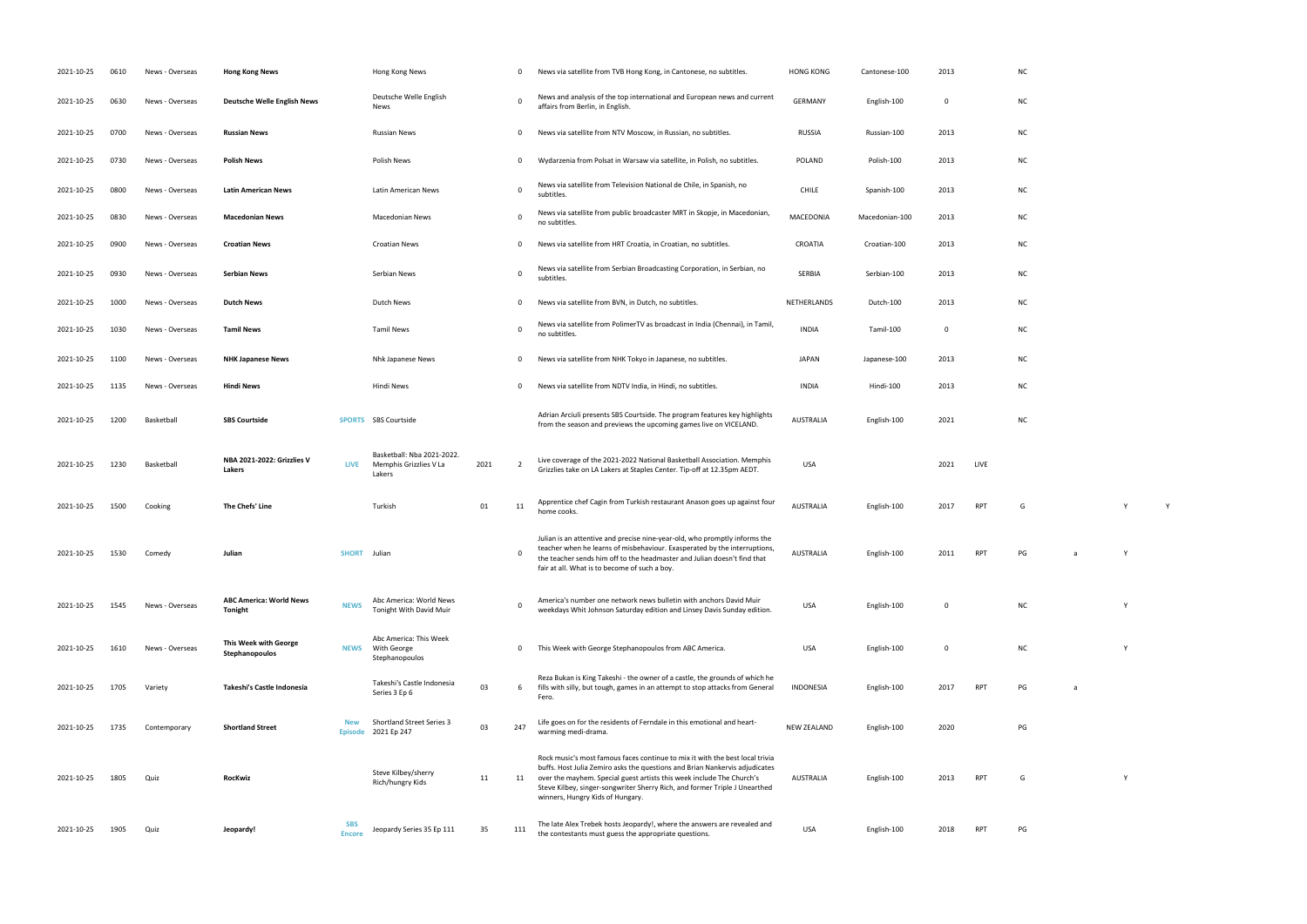0 This Week with George Stephanopoulos from ABC America. USA English-100 0 NC Y **INDONESIA ENGLish-100 2017 PG** a warming median median median median median median median område som den som den som den som den som den som de<br>100 2020 parameter som den som den som den som den som den som den som den som den som den som den som den som

RPT G Y

| 2021-10-25 | 0610 | News - Overseas | <b>Hong Kong News</b>                            |                              | Hong Kong News                                                 |      | 0            | News via satellite from TVB Hong Kong, in Cantonese, no subtitles.                                                                                                                                                                                                                                                                                     | <b>HONG KONG</b>   | Cantonese-100  | 2013        |            | N0             |
|------------|------|-----------------|--------------------------------------------------|------------------------------|----------------------------------------------------------------|------|--------------|--------------------------------------------------------------------------------------------------------------------------------------------------------------------------------------------------------------------------------------------------------------------------------------------------------------------------------------------------------|--------------------|----------------|-------------|------------|----------------|
| 2021-10-25 | 0630 | News - Overseas | <b>Deutsche Welle English News</b>               |                              | Deutsche Welle English<br>News                                 |      | $\mathbf 0$  | News and analysis of the top international and European news and current<br>affairs from Berlin, in English.                                                                                                                                                                                                                                           | <b>GERMANY</b>     | English-100    | 0           |            | N0             |
| 2021-10-25 | 0700 | News - Overseas | <b>Russian News</b>                              |                              | <b>Russian News</b>                                            |      | $\mathbf 0$  | News via satellite from NTV Moscow, in Russian, no subtitles.                                                                                                                                                                                                                                                                                          | RUSSIA             | Russian-100    | 2013        |            | N0             |
| 2021-10-25 | 0730 | News - Overseas | <b>Polish News</b>                               |                              | Polish News                                                    |      | $\mathbf 0$  | Wydarzenia from Polsat in Warsaw via satellite, in Polish, no subtitles.                                                                                                                                                                                                                                                                               | <b>POLAND</b>      | Polish-100     | 2013        |            | N0             |
| 2021-10-25 | 0800 | News - Overseas | <b>Latin American News</b>                       |                              | Latin American News                                            |      | $\mathbf 0$  | News via satellite from Television National de Chile, in Spanish, no<br>subtitles.                                                                                                                                                                                                                                                                     | <b>CHILE</b>       | Spanish-100    | 2013        |            | NO             |
| 2021-10-25 | 0830 | News - Overseas | <b>Macedonian News</b>                           |                              | <b>Macedonian News</b>                                         |      | $\mathbf 0$  | News via satellite from public broadcaster MRT in Skopje, in Macedonian,<br>no subtitles.                                                                                                                                                                                                                                                              | MACEDONIA          | Macedonian-100 | 2013        |            | NO             |
| 2021-10-25 | 0900 | News - Overseas | <b>Croatian News</b>                             |                              | <b>Croatian News</b>                                           |      | 0            | News via satellite from HRT Croatia, in Croatian, no subtitles.                                                                                                                                                                                                                                                                                        | CROATIA            | Croatian-100   | 2013        |            | NO             |
| 2021-10-25 | 0930 | News - Overseas | <b>Serbian News</b>                              |                              | Serbian News                                                   |      | $\mathbf 0$  | News via satellite from Serbian Broadcasting Corporation, in Serbian, no<br>subtitles.                                                                                                                                                                                                                                                                 | SERBIA             | Serbian-100    | 2013        |            | N0             |
| 2021-10-25 | 1000 | News - Overseas | <b>Dutch News</b>                                |                              | Dutch News                                                     |      | 0            | News via satellite from BVN, in Dutch, no subtitles.                                                                                                                                                                                                                                                                                                   | NETHERLANDS        | Dutch-100      | 2013        |            | N0             |
| 2021-10-25 | 1030 | News - Overseas | <b>Tamil News</b>                                |                              | <b>Tamil News</b>                                              |      | $\mathbf 0$  | News via satellite from PolimerTV as broadcast in India (Chennai), in Tamil,<br>no subtitles.                                                                                                                                                                                                                                                          | <b>INDIA</b>       | Tamil-100      | 0           |            | NO             |
| 2021-10-25 | 1100 | News - Overseas | <b>NHK Japanese News</b>                         |                              | <b>Nhk Japanese News</b>                                       |      | $\mathbf{0}$ | News via satellite from NHK Tokyo in Japanese, no subtitles.                                                                                                                                                                                                                                                                                           | <b>JAPAN</b>       | Japanese-100   | 2013        |            | N0             |
| 2021-10-25 | 1135 | News - Overseas | <b>Hindi News</b>                                |                              | Hindi News                                                     |      | $\mathbf 0$  | News via satellite from NDTV India, in Hindi, no subtitles.                                                                                                                                                                                                                                                                                            | <b>INDIA</b>       | Hindi-100      | 2013        |            | N0             |
| 2021-10-25 | 1200 | Basketball      | <b>SBS Courtside</b>                             |                              | SPORTS SBS Courtside                                           |      |              | Adrian Arciuli presents SBS Courtside. The program features key highlights<br>from the season and previews the upcoming games live on VICELAND.                                                                                                                                                                                                        | <b>AUSTRALIA</b>   | English-100    | 2021        |            | N0             |
| 2021-10-25 | 1230 | Basketball      | NBA 2021-2022: Grizzlies V<br>Lakers             | <b>LIVE</b>                  | Basketball: Nba 2021-2022.<br>Memphis Grizzlies V La<br>Lakers | 2021 | 2            | Live coverage of the 2021-2022 National Basketball Association. Memphis<br>Grizzlies take on LA Lakers at Staples Center. Tip-off at 12.35pm AEDT.                                                                                                                                                                                                     | USA                |                | 2021        | LIVE       |                |
| 2021-10-25 | 1500 | Cooking         | The Chefs' Line                                  |                              | Turkish                                                        | 01   | 11           | Apprentice chef Cagin from Turkish restaurant Anason goes up against four<br>home cooks.                                                                                                                                                                                                                                                               | <b>AUSTRALIA</b>   | English-100    | 2017        | RPT        | G              |
| 2021-10-25 | 1530 | Comedy          | Julian                                           | SHORT Julian                 |                                                                |      |              | Julian is an attentive and precise nine-year-old, who promptly informs the<br>teacher when he learns of misbehaviour. Exasperated by the interruptions,<br>the teacher sends him off to the headmaster and Julian doesn't find that<br>fair at all. What is to become of such a boy.                                                                   | AUSTRALIA          | English-100    | 2011        | RPT        | PG             |
| 2021-10-25 | 1545 | News - Overseas | <b>ABC America: World News</b><br><b>Tonight</b> | <b>NEWS</b>                  | Abc America: World News<br>Tonight With David Muir             |      | $\Omega$     | America's number one network news bulletin with anchors David Muir<br>weekdays Whit Johnson Saturday edition and Linsey Davis Sunday edition.                                                                                                                                                                                                          | <b>USA</b>         | English-100    | $\mathbf 0$ |            | N <sub>C</sub> |
| 2021-10-25 | 1610 | News - Overseas | This Week with George<br>Stephanopoulos          | <b>NEWS</b>                  | Abc America: This Week<br>With George<br>Stephanopoulos        |      | $\mathbf 0$  | This Week with George Stephanopoulos from ABC America.                                                                                                                                                                                                                                                                                                 | <b>USA</b>         | English-100    | $\mathbf 0$ |            | N0             |
| 2021-10-25 | 1705 | Variety         | Takeshi's Castle Indonesia                       |                              | Takeshi's Castle Indonesia<br>Series 3 Ep 6                    | 03   | 6            | Reza Bukan is King Takeshi - the owner of a castle, the grounds of which he<br>fills with silly, but tough, games in an attempt to stop attacks from General<br>Fero.                                                                                                                                                                                  | <b>INDONESIA</b>   | English-100    | 2017        | <b>RPT</b> | PG             |
| 2021-10-25 | 1735 | Contemporary    | <b>Shortland Street</b>                          | <b>New</b><br><b>Episode</b> | <b>Shortland Street Series 3</b><br>2021 Ep 247                | 03   | 247          | Life goes on for the residents of Ferndale in this emotional and heart-<br>warming medi-drama.                                                                                                                                                                                                                                                         | <b>NEW ZEALAND</b> | English-100    | 2020        |            | PG             |
| 2021-10-25 | 1805 | Quiz            | <b>RocKwiz</b>                                   |                              | Steve Kilbey/sherry<br>Rich/hungry Kids                        | 11   | 11           | Rock music's most famous faces continue to mix it with the best local trivia<br>buffs. Host Julia Zemiro asks the questions and Brian Nankervis adjudicates<br>over the mayhem. Special guest artists this week include The Church's<br>Steve Kilbey, singer-songwriter Sherry Rich, and former Triple J Unearthed<br>winners, Hungry Kids of Hungary. | AUSTRALIA          | English-100    | 2013        | <b>RPT</b> | G              |
| 2021-10-25 | 1905 | Quiz            | Jeopardy!                                        | <b>SBS</b><br><b>Encore</b>  | Jeopardy Series 35 Ep 111                                      | 35   | 111          | The late Alex Trebek hosts Jeopardy!, where the answers are revealed and<br>the contestants must guess the appropriate questions.                                                                                                                                                                                                                      | <b>USA</b>         | English-100    | 2018        | RPT        | PG             |

| <b>NC</b> |  |  |
|-----------|--|--|
| <b>NC</b> |  |  |
| <b>NC</b> |  |  |
| <b>NC</b> |  |  |
| <b>NC</b> |  |  |
| <b>NC</b> |  |  |
| <b>NC</b> |  |  |
| <b>NC</b> |  |  |
| <b>NC</b> |  |  |
| <b>NC</b> |  |  |

 $nc$ 

home cooks. AUSTRALIA English-100 <sup>2017</sup> RPT <sup>G</sup> <sup>Y</sup> <sup>Y</sup>

RPT PG a Y which Johnson Saturday edition and Linsey Davis Sunday edition and Linsey Davis Sunday edition. USA English-100 O NC York 100 O NC York 100 NC York 100 O NC York 100 O NC York 100 0 NC York 100 O NC York 100 O NC York 100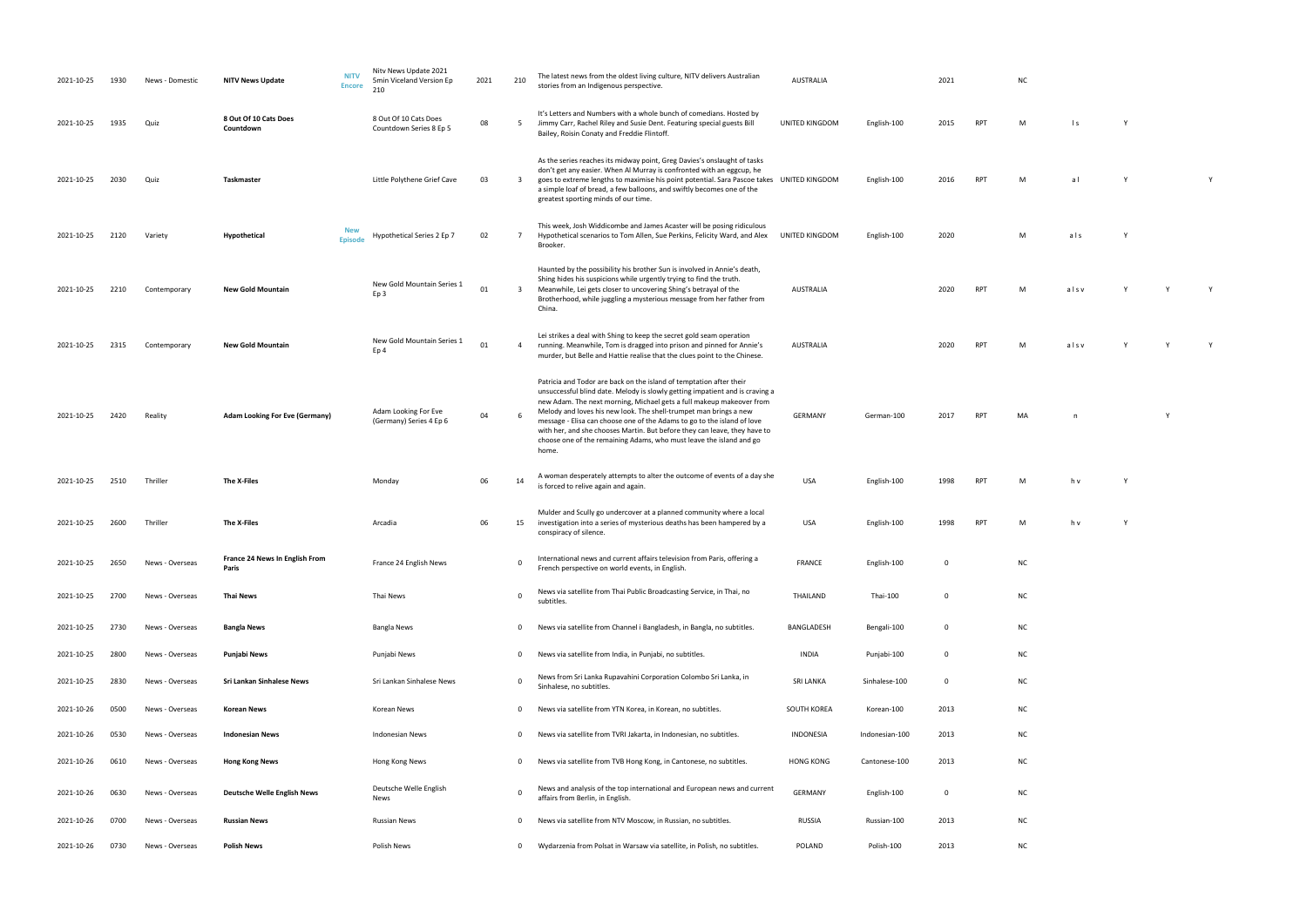| 2021-10-25 | 1930 | News - Domestic | <b>NITV News Update</b>                 | <b>NITV</b><br><b>Encore</b> | Nitv News Update 2021<br>5min Viceland Version Ep<br>210 | 2021 | 210                     | The latest news from the oldest living culture, NITV delivers Australian<br>stories from an Indigenous perspective.                                                                                                                                                                                                                                                                                                                                                                                                                      | <b>AUSTRALIA</b> |                | 2021         |            | <b>NC</b> |                |  |
|------------|------|-----------------|-----------------------------------------|------------------------------|----------------------------------------------------------|------|-------------------------|------------------------------------------------------------------------------------------------------------------------------------------------------------------------------------------------------------------------------------------------------------------------------------------------------------------------------------------------------------------------------------------------------------------------------------------------------------------------------------------------------------------------------------------|------------------|----------------|--------------|------------|-----------|----------------|--|
| 2021-10-25 | 1935 | Quiz            | 8 Out Of 10 Cats Does<br>Countdown      |                              | 8 Out Of 10 Cats Does<br>Countdown Series 8 Ep 5         | 08   | 5                       | It's Letters and Numbers with a whole bunch of comedians. Hosted by<br>Jimmy Carr, Rachel Riley and Susie Dent. Featuring special guests Bill<br>Bailey, Roisin Conaty and Freddie Flintoff.                                                                                                                                                                                                                                                                                                                                             | UNITED KINGDOM   | English-100    | 2015         | <b>RPT</b> | M         | $\mathsf{I}$ s |  |
| 2021-10-25 | 2030 | Quiz            | Taskmaster                              |                              | Little Polythene Grief Cave                              | 03   | 3                       | As the series reaches its midway point, Greg Davies's onslaught of tasks<br>don't get any easier. When Al Murray is confronted with an eggcup, he<br>goes to extreme lengths to maximise his point potential. Sara Pascoe takes UNITED KINGDOM<br>a simple loaf of bread, a few balloons, and swiftly becomes one of the<br>greatest sporting minds of our time.                                                                                                                                                                         |                  | English-100    | 2016         | <b>RPT</b> | M         | a l            |  |
| 2021-10-25 | 2120 | Variety         | Hypothetical                            | <b>New</b><br><b>Episode</b> | Hypothetical Series 2 Ep 7                               | 02   | 7                       | This week, Josh Widdicombe and James Acaster will be posing ridiculous<br>Hypothetical scenarios to Tom Allen, Sue Perkins, Felicity Ward, and Alex<br>Brooker.                                                                                                                                                                                                                                                                                                                                                                          | UNITED KINGDOM   | English-100    | 2020         |            | M         | als            |  |
| 2021-10-25 | 2210 | Contemporary    | <b>New Gold Mountain</b>                |                              | New Gold Mountain Series 1<br>Ep <sub>3</sub>            | 01   | $\overline{\mathbf{3}}$ | Haunted by the possibility his brother Sun is involved in Annie's death,<br>Shing hides his suspicions while urgently trying to find the truth.<br>Meanwhile, Lei gets closer to uncovering Shing's betrayal of the<br>Brotherhood, while juggling a mysterious message from her father from<br>China.                                                                                                                                                                                                                                   | <b>AUSTRALIA</b> |                | 2020         | <b>RPT</b> | M         | alsv           |  |
| 2021-10-25 | 2315 | Contemporary    | <b>New Gold Mountain</b>                |                              | New Gold Mountain Series 1<br>Ep <sub>4</sub>            | 01   | 4                       | Lei strikes a deal with Shing to keep the secret gold seam operation<br>running. Meanwhile, Tom is dragged into prison and pinned for Annie's<br>murder, but Belle and Hattie realise that the clues point to the Chinese.                                                                                                                                                                                                                                                                                                               | AUSTRALIA        |                | 2020         | <b>RPT</b> | M         | alsv           |  |
| 2021-10-25 | 2420 | Reality         | <b>Adam Looking For Eve (Germany)</b>   |                              | Adam Looking For Eve<br>(Germany) Series 4 Ep 6          | 04   | 6                       | Patricia and Todor are back on the island of temptation after their<br>unsuccessful blind date. Melody is slowly getting impatient and is craving a<br>new Adam. The next morning, Michael gets a full makeup makeover from<br>Melody and loves his new look. The shell-trumpet man brings a new<br>message - Elisa can choose one of the Adams to go to the island of love<br>with her, and she chooses Martin. But before they can leave, they have to<br>choose one of the remaining Adams, who must leave the island and go<br>home. | GERMANY          | German-100     | 2017         | <b>RPT</b> | MA        | n              |  |
| 2021-10-25 | 2510 | Thriller        | The X-Files                             |                              | Monday                                                   | 06   | 14                      | A woman desperately attempts to alter the outcome of events of a day she<br>is forced to relive again and again.                                                                                                                                                                                                                                                                                                                                                                                                                         | USA              | English-100    | 1998         | <b>RPT</b> | M         | h v            |  |
| 2021-10-25 | 2600 | Thriller        | The X-Files                             |                              | Arcadia                                                  | 06   | 15                      | Mulder and Scully go undercover at a planned community where a local<br>investigation into a series of mysterious deaths has been hampered by a<br>conspiracy of silence.                                                                                                                                                                                                                                                                                                                                                                | USA              | English-100    | 1998         | <b>RPT</b> | M         | h v            |  |
| 2021-10-25 | 2650 | News - Overseas | France 24 News In English From<br>Paris |                              | France 24 English News                                   |      | 0                       | International news and current affairs television from Paris, offering a<br>French perspective on world events, in English.                                                                                                                                                                                                                                                                                                                                                                                                              | <b>FRANCE</b>    | English-100    | $\mathbf 0$  |            | <b>NC</b> |                |  |
| 2021-10-25 | 2700 | News - Overseas | Thai News                               |                              | Thai News                                                |      | $\Omega$                | News via satellite from Thai Public Broadcasting Service, in Thai, no<br>subtitles.                                                                                                                                                                                                                                                                                                                                                                                                                                                      | THAILAND         | Thai-100       | $\mathbf 0$  |            | <b>NC</b> |                |  |
| 2021-10-25 | 2730 | News - Overseas | <b>Bangla News</b>                      |                              | <b>Bangla News</b>                                       |      | 0                       | News via satellite from Channel i Bangladesh, in Bangla, no subtitles.                                                                                                                                                                                                                                                                                                                                                                                                                                                                   | BANGLADESH       | Bengali-100    | $\mathbf{0}$ |            | <b>NC</b> |                |  |
| 2021-10-25 | 2800 | News - Overseas | Punjabi News                            |                              | Punjabi News                                             |      | $\mathbf 0$             | News via satellite from India, in Punjabi, no subtitles.                                                                                                                                                                                                                                                                                                                                                                                                                                                                                 | <b>INDIA</b>     | Punjabi-100    | $\mathbf 0$  |            | <b>NC</b> |                |  |
| 2021-10-25 | 2830 | News - Overseas | Sri Lankan Sinhalese News               |                              | Sri Lankan Sinhalese News                                |      | $\Omega$                | News from Sri Lanka Rupavahini Corporation Colombo Sri Lanka, in<br>Sinhalese, no subtitles.                                                                                                                                                                                                                                                                                                                                                                                                                                             | <b>SRI LANKA</b> | Sinhalese-100  | $\mathbf 0$  |            | <b>NC</b> |                |  |
| 2021-10-26 | 0500 | News - Overseas | Korean News                             |                              | Korean News                                              |      | $\mathbf 0$             | News via satellite from YTN Korea, in Korean, no subtitles.                                                                                                                                                                                                                                                                                                                                                                                                                                                                              | SOUTH KOREA      | Korean-100     | 2013         |            | <b>NC</b> |                |  |
| 2021-10-26 | 0530 | News - Overseas | <b>Indonesian News</b>                  |                              | <b>Indonesian News</b>                                   |      | $\mathbf 0$             | News via satellite from TVRI Jakarta, in Indonesian, no subtitles.                                                                                                                                                                                                                                                                                                                                                                                                                                                                       | INDONESIA        | Indonesian-100 | 2013         |            | <b>NC</b> |                |  |
| 2021-10-26 | 0610 | News - Overseas | <b>Hong Kong News</b>                   |                              | Hong Kong News                                           |      | $\mathbf 0$             | News via satellite from TVB Hong Kong, in Cantonese, no subtitles.                                                                                                                                                                                                                                                                                                                                                                                                                                                                       | <b>HONG KONG</b> | Cantonese-100  | 2013         |            | <b>NC</b> |                |  |
| 2021-10-26 | 0630 | News - Overseas | <b>Deutsche Welle English News</b>      |                              | Deutsche Welle English<br>News                           |      | $\overline{0}$          | News and analysis of the top international and European news and current<br>affairs from Berlin, in English.                                                                                                                                                                                                                                                                                                                                                                                                                             | <b>GERMANY</b>   | English-100    | 0            |            | <b>NC</b> |                |  |
| 2021-10-26 | 0700 | News - Overseas | <b>Russian News</b>                     |                              | <b>Russian News</b>                                      |      | $\Omega$                | News via satellite from NTV Moscow, in Russian, no subtitles.                                                                                                                                                                                                                                                                                                                                                                                                                                                                            | RUSSIA           | Russian-100    | 2013         |            | <b>NC</b> |                |  |
| 2021-10-26 | 0730 | News - Overseas | <b>Polish News</b>                      |                              | Polish News                                              |      | $\mathbf 0$             | Wydarzenia from Polsat in Warsaw via satellite, in Polish, no subtitles.                                                                                                                                                                                                                                                                                                                                                                                                                                                                 | POLAND           | Polish-100     | 2013         |            | <b>NC</b> |                |  |

| NC<br>×<br>۰, |  |  |
|---------------|--|--|

| M         | $\mathsf{ls}$  | Y            |              |              |
|-----------|----------------|--------------|--------------|--------------|
| M         | a <sub>l</sub> | Y            |              | $\mathsf Y$  |
| M         | als            | $\mathsf Y$  |              |              |
| M         | alsv           | $\mathsf Y$  | $\mathsf{Y}$ | $\mathsf{Y}$ |
| M         | alsv           | $\mathsf Y$  | Υ            | Y            |
| MA        | $\overline{a}$ |              | Y            |              |
| M         | h v            | Y            |              |              |
| M         | h v            | $\mathsf{Y}$ |              |              |
| NC        |                |              |              |              |
| NC        |                |              |              |              |
| NC        |                |              |              |              |
| NC        |                |              |              |              |
| NC        |                |              |              |              |
| NC        |                |              |              |              |
| NC        |                |              |              |              |
| NC        |                |              |              |              |
| NC        |                |              |              |              |
| <b>NC</b> |                |              |              |              |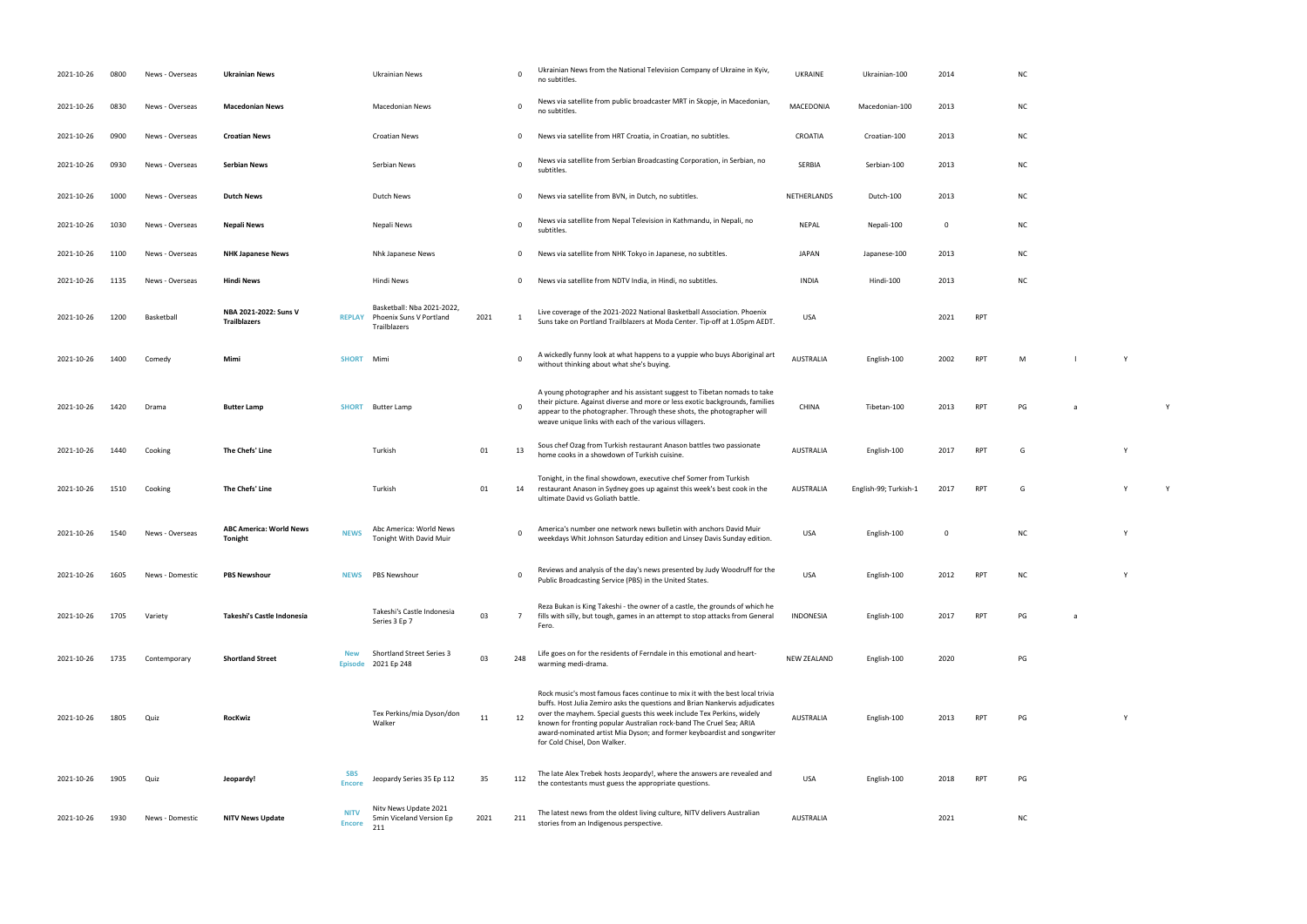RPT PG a Y home cooks in a showdown of Turkish cuisine. AUSTRALIA English-100 <sup>2017</sup> RPT <sup>G</sup> <sup>Y</sup>

weekdays Whit Johnson Saturday edition and Linsey Davis Sunday edition. USA English-100 <sup>0</sup> NC <sup>Y</sup> Public Broadcasting States. USA English-100 2012 RPT NC Y

**INDONESIA ENGLish-100 2017 RPT** 

ware mediad mediad mediad mediad mediad mediad mediad mediad mediad mediad mediad mediad mediad mediad mediad m<br>100 2020 PG

RPT PG Y

 $NC$ 

| 2021-10-26 | 0800 | News - Overseas | <b>Ukrainian News</b>                            |                              | Ukrainian News                                                       |      | 0              | Ukrainian News from the National Television Company of Ukraine in Kyiv,<br>no subtitles.                                                                                                                                                                                                                                                                                                                               | <b>UKRAINE</b>     | Ukrainian-100         | 2014        |            | N0             |
|------------|------|-----------------|--------------------------------------------------|------------------------------|----------------------------------------------------------------------|------|----------------|------------------------------------------------------------------------------------------------------------------------------------------------------------------------------------------------------------------------------------------------------------------------------------------------------------------------------------------------------------------------------------------------------------------------|--------------------|-----------------------|-------------|------------|----------------|
| 2021-10-26 | 0830 | News - Overseas | <b>Macedonian News</b>                           |                              | <b>Macedonian News</b>                                               |      | 0              | News via satellite from public broadcaster MRT in Skopje, in Macedonian,<br>no subtitles.                                                                                                                                                                                                                                                                                                                              | MACEDONIA          | Macedonian-100        | 2013        |            | N0             |
| 2021-10-26 | 0900 | News - Overseas | <b>Croatian News</b>                             |                              | <b>Croatian News</b>                                                 |      | $\mathbf 0$    | News via satellite from HRT Croatia, in Croatian, no subtitles.                                                                                                                                                                                                                                                                                                                                                        | CROATIA            | Croatian-100          | 2013        |            | NO             |
| 2021-10-26 | 0930 | News - Overseas | <b>Serbian News</b>                              |                              | Serbian News                                                         |      | $\mathbf 0$    | News via satellite from Serbian Broadcasting Corporation, in Serbian, no<br>subtitles.                                                                                                                                                                                                                                                                                                                                 | <b>SERBIA</b>      | Serbian-100           | 2013        |            | N0             |
| 2021-10-26 | 1000 | News - Overseas | <b>Dutch News</b>                                |                              | Dutch News                                                           |      | 0              | News via satellite from BVN, in Dutch, no subtitles.                                                                                                                                                                                                                                                                                                                                                                   | NETHERLANDS        | Dutch-100             | 2013        |            | N0             |
| 2021-10-26 | 1030 | News - Overseas | Nepali News                                      |                              | Nepali News                                                          |      | $\mathbf 0$    | News via satellite from Nepal Television in Kathmandu, in Nepali, no<br>subtitles.                                                                                                                                                                                                                                                                                                                                     | <b>NEPAL</b>       | Nepali-100            | $\mathbf 0$ |            | N <sub>C</sub> |
| 2021-10-26 | 1100 | News - Overseas | <b>NHK Japanese News</b>                         |                              | Nhk Japanese News                                                    |      | $\mathbf 0$    | News via satellite from NHK Tokyo in Japanese, no subtitles.                                                                                                                                                                                                                                                                                                                                                           | <b>JAPAN</b>       | Japanese-100          | 2013        |            | N <sub>C</sub> |
| 2021-10-26 | 1135 | News - Overseas | <b>Hindi News</b>                                |                              | Hindi News                                                           |      | $\mathbf 0$    | News via satellite from NDTV India, in Hindi, no subtitles.                                                                                                                                                                                                                                                                                                                                                            | <b>INDIA</b>       | Hindi-100             | 2013        |            | N0             |
| 2021-10-26 | 1200 | Basketball      | NBA 2021-2022: Suns V<br><b>Trailblazers</b>     | <b>REPLAY</b>                | Basketball: Nba 2021-2022<br>Phoenix Suns V Portland<br>Trailblazers | 2021 |                | Live coverage of the 2021-2022 National Basketball Association. Phoenix<br>Suns take on Portland Trailblazers at Moda Center. Tip-off at 1.05pm AEDT.                                                                                                                                                                                                                                                                  | <b>USA</b>         |                       | 2021        | <b>RPT</b> |                |
| 2021-10-26 | 1400 | Comedy          | Mimi                                             | <b>SHORT</b>                 | Mimi                                                                 |      | $\mathbf 0$    | A wickedly funny look at what happens to a yuppie who buys Aboriginal art<br>without thinking about what she's buying.                                                                                                                                                                                                                                                                                                 | <b>AUSTRALIA</b>   | English-100           | 2002        | <b>RPT</b> | M              |
| 2021-10-26 | 1420 | Drama           | <b>Butter Lamp</b>                               | <b>SHORT</b>                 | <b>Butter Lamp</b>                                                   |      | $\mathbf 0$    | A young photographer and his assistant suggest to Tibetan nomads to take<br>their picture. Against diverse and more or less exotic backgrounds, families<br>appear to the photographer. Through these shots, the photographer will<br>weave unique links with each of the various villagers.                                                                                                                           | <b>CHINA</b>       | Tibetan-100           | 2013        | <b>RPT</b> | PG             |
| 2021-10-26 | 1440 | Cooking         | The Chefs' Line                                  |                              | Turkish                                                              | 01   | 13             | Sous chef Ozag from Turkish restaurant Anason battles two passionate<br>home cooks in a showdown of Turkish cuisine.                                                                                                                                                                                                                                                                                                   | <b>AUSTRALIA</b>   | English-100           | 2017        | <b>RPT</b> | G              |
| 2021-10-26 | 1510 | Cooking         | The Chefs' Line                                  |                              | Turkish                                                              | 01   | 14             | Tonight, in the final showdown, executive chef Somer from Turkish<br>restaurant Anason in Sydney goes up against this week's best cook in the<br>ultimate David vs Goliath battle.                                                                                                                                                                                                                                     | AUSTRALIA          | English-99; Turkish-1 | 2017        | <b>RPT</b> | G              |
| 2021-10-26 | 1540 | News - Overseas | <b>ABC America: World News</b><br><b>Tonight</b> | <b>NEWS</b>                  | Abc America: World News<br>Tonight With David Muir                   |      | 0              | America's number one network news bulletin with anchors David Muir<br>weekdays Whit Johnson Saturday edition and Linsey Davis Sunday edition.                                                                                                                                                                                                                                                                          | <b>USA</b>         | English-100           | $\mathbf 0$ |            | N              |
| 2021-10-26 | 1605 | News - Domestic | <b>PBS Newshour</b>                              | <b>NEWS</b>                  | PBS Newshour                                                         |      | - 0            | Reviews and analysis of the day's news presented by Judy Woodruff for the<br>Public Broadcasting Service (PBS) in the United States.                                                                                                                                                                                                                                                                                   | <b>USA</b>         | English-100           | 2012        | <b>RPT</b> | N0             |
| 2021-10-26 | 1705 | Variety         | Takeshi's Castle Indonesia                       |                              | Takeshi's Castle Indonesia<br>Series 3 Ep 7                          | 03   | $\overline{7}$ | Reza Bukan is King Takeshi - the owner of a castle, the grounds of which he<br>fills with silly, but tough, games in an attempt to stop attacks from General<br>Fero.                                                                                                                                                                                                                                                  | <b>INDONESIA</b>   | English-100           | 2017        | <b>RPT</b> | PG             |
| 2021-10-26 | 1735 | Contemporary    | <b>Shortland Street</b>                          | <b>New</b><br>Episode        | <b>Shortland Street Series 3</b><br>2021 Ep 248                      | 03   | 248            | Life goes on for the residents of Ferndale in this emotional and heart-<br>warming medi-drama.                                                                                                                                                                                                                                                                                                                         | <b>NEW ZEALAND</b> | English-100           | 2020        |            | PG             |
| 2021-10-26 | 1805 | Quiz            | <b>RocKwiz</b>                                   |                              | Tex Perkins/mia Dyson/don<br>Walker                                  | 11   | 12             | Rock music's most famous faces continue to mix it with the best local trivia<br>buffs. Host Julia Zemiro asks the questions and Brian Nankervis adjudicates<br>over the mayhem. Special guests this week include Tex Perkins, widely<br>known for fronting popular Australian rock-band The Cruel Sea; ARIA<br>award-nominated artist Mia Dyson; and former keyboardist and songwriter<br>for Cold Chisel, Don Walker. | <b>AUSTRALIA</b>   | English-100           | 2013        | RPT        | PG             |
| 2021-10-26 | 1905 | Quiz            | Jeopardy!                                        | SBS<br><b>Encore</b>         | Jeopardy Series 35 Ep 112                                            | 35   | 112            | The late Alex Trebek hosts Jeopardy!, where the answers are revealed and<br>the contestants must guess the appropriate questions.                                                                                                                                                                                                                                                                                      | <b>USA</b>         | English-100           | 2018        | <b>RPT</b> | PG             |
| 2021-10-26 | 1930 | News - Domestic | <b>NITV News Update</b>                          | <b>NITV</b><br><b>Encore</b> | Nitv News Update 2021<br>5min Viceland Version Ep<br>211             | 2021 | 211            | The latest news from the oldest living culture, NITV delivers Australian<br>stories from an Indigenous perspective.                                                                                                                                                                                                                                                                                                    | <b>AUSTRALIA</b>   |                       | 2021        |            | N0             |

| <b>NC</b>  |  |  |  |
|------------|--|--|--|
| NC         |  |  |  |
| <b>NC</b>  |  |  |  |
| <b>NC</b>  |  |  |  |
| <b>NC</b>  |  |  |  |
| <b>NIC</b> |  |  |  |

with thinking about what she's buying. AUSTRALIA English-100 2002 RPT M l Y Y 2002 RPT M l V Y 2002 RPT M l V Y

AUSTRALIA English-99; Turkish-1 2017 RPT G Y Y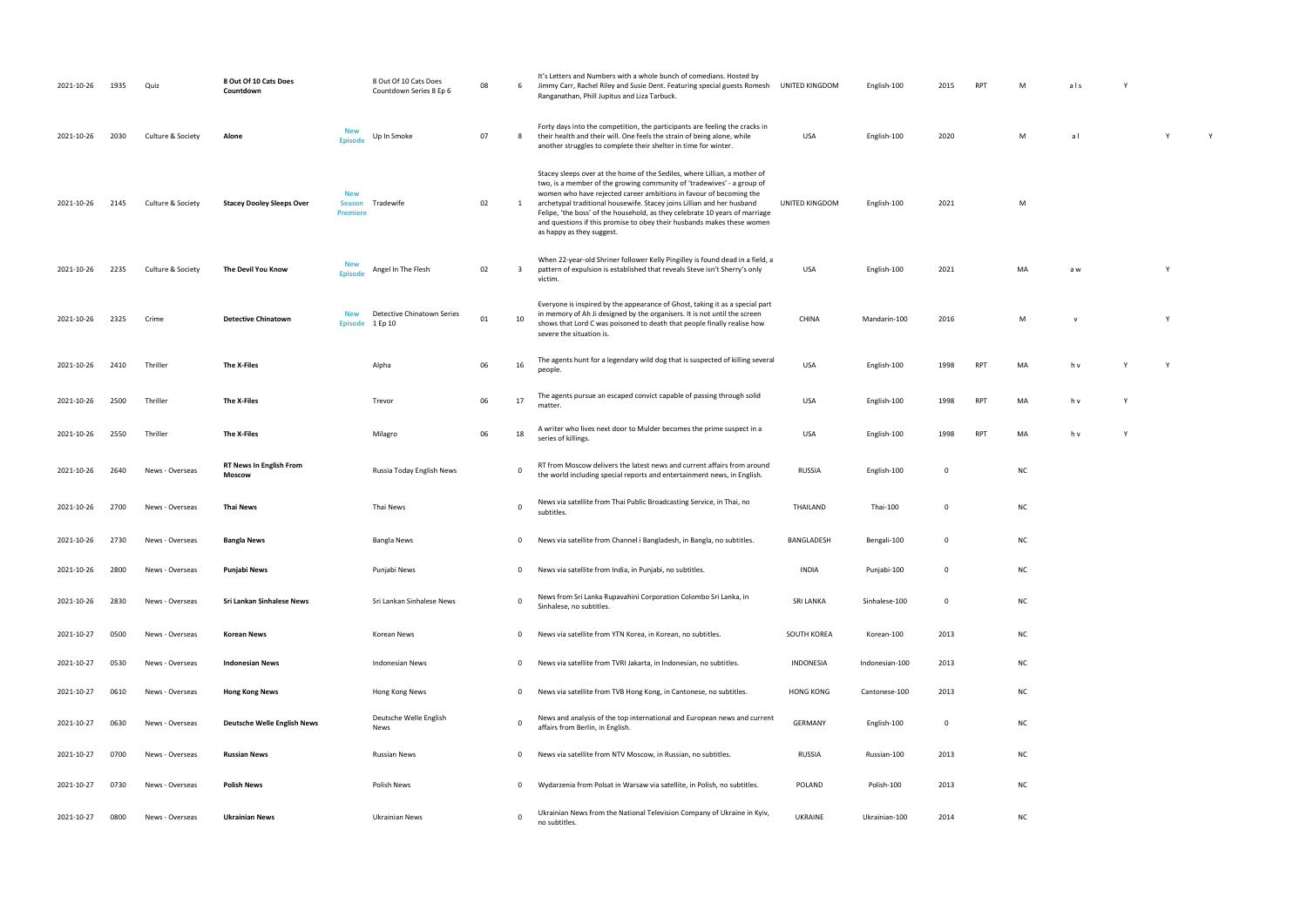| ) KINGDOM | English-100  | 2015 | <b>RPI</b> | M  | ais                      | Y |   |   |
|-----------|--------------|------|------------|----|--------------------------|---|---|---|
| USA       | English-100  | 2020 |            | M  | a <sub>l</sub>           |   | Υ | Υ |
| KINGDOM   | English-100  | 2021 |            | M  |                          |   |   |   |
| USA       | English-100  | 2021 |            | MA | a w                      |   | Υ |   |
| HINA      | Mandarin-100 | 2016 |            | M  | $\mathsf{V}$             |   | Υ |   |
| USA       | English-100  | 1998 | RPT        | MA | $\mathsf{h}\,\mathsf{v}$ | Υ | Υ |   |
| USA       | English-100  | 1998 | <b>RPT</b> | MA | $\mathsf{h}\,\mathsf{v}$ | Υ |   |   |

| 2021-10-26 | 1935 | Quiz              | 8 Out Of 10 Cats Does<br>Countdown       |                                                | 8 Out Of 10 Cats Does<br>Countdown Series 8 Ep 6 | 08 | 6              | It's Letters and Numbers with a whole bunch of comedians. Hosted by<br>Jimmy Carr, Rachel Riley and Susie Dent. Featuring special guests Romesh<br>Ranganathan, Phill Jupitus and Liza Tarbuck.                                                                                                                                                                                                                                                                                           | UNITED KINGDOM   | English-100    | 2015         | <b>RPT</b> | м         | als      |  |
|------------|------|-------------------|------------------------------------------|------------------------------------------------|--------------------------------------------------|----|----------------|-------------------------------------------------------------------------------------------------------------------------------------------------------------------------------------------------------------------------------------------------------------------------------------------------------------------------------------------------------------------------------------------------------------------------------------------------------------------------------------------|------------------|----------------|--------------|------------|-----------|----------|--|
| 2021-10-26 | 2030 | Culture & Society | Alone                                    | <b>New</b><br>Episode                          | Up In Smoke                                      | 07 | 8              | Forty days into the competition, the participants are feeling the cracks in<br>their health and their will. One feels the strain of being alone, while<br>another struggles to complete their shelter in time for winter.                                                                                                                                                                                                                                                                 | USA              | English-100    | 2020         |            | M         | al       |  |
| 2021-10-26 | 2145 | Culture & Society | <b>Stacey Dooley Sleeps Over</b>         | <b>New</b><br><b>Season</b><br><b>Premiere</b> | Tradewife                                        | 02 |                | Stacey sleeps over at the home of the Sediles, where Lillian, a mother of<br>two, is a member of the growing community of 'tradewives' - a group of<br>women who have rejected career ambitions in favour of becoming the<br>archetypal traditional housewife. Stacey joins Lillian and her husband<br>Felipe, 'the boss' of the household, as they celebrate 10 years of marriage<br>and questions if this promise to obey their husbands makes these women<br>as happy as they suggest. | UNITED KINGDOM   | English-100    | 2021         |            | M         |          |  |
| 2021-10-26 | 2235 | Culture & Society | The Devil You Know                       | <b>New</b><br><b>Episod</b>                    | Angel In The Flesh                               | 02 | -3             | When 22-year-old Shriner follower Kelly Pingilley is found dead in a field, a<br>pattern of expulsion is established that reveals Steve isn't Sherry's only<br>victim.                                                                                                                                                                                                                                                                                                                    | USA              | English-100    | 2021         |            | MA        | a w      |  |
| 2021-10-26 | 2325 | Crime             | <b>Detective Chinatown</b>               | <b>New</b><br><b>Episode</b>                   | Detective Chinatown Series<br>1 Ep 10            | 01 | 10             | Everyone is inspired by the appearance of Ghost, taking it as a special part<br>in memory of Ah Ji designed by the organisers. It is not until the screen<br>shows that Lord C was poisoned to death that people finally realise how<br>severe the situation is.                                                                                                                                                                                                                          | <b>CHINA</b>     | Mandarin-100   | 2016         |            | M         | <b>V</b> |  |
| 2021-10-26 | 2410 | Thriller          | The X-Files                              |                                                | Alpha                                            | 06 | 16             | The agents hunt for a legendary wild dog that is suspected of killing several<br>people.                                                                                                                                                                                                                                                                                                                                                                                                  | <b>USA</b>       | English-100    | 1998         | <b>RPT</b> | MA        | h v      |  |
| 2021-10-26 | 2500 | Thriller          | The X-Files                              |                                                | Trevor                                           | 06 | 17             | The agents pursue an escaped convict capable of passing through solid<br>matter.                                                                                                                                                                                                                                                                                                                                                                                                          | USA              | English-100    | 1998         | <b>RPT</b> | MA        | h v      |  |
| 2021-10-26 | 2550 | Thriller          | The X-Files                              |                                                | Milagro                                          | 06 | 18             | A writer who lives next door to Mulder becomes the prime suspect in a<br>series of killings.                                                                                                                                                                                                                                                                                                                                                                                              | USA              | English-100    | 1998         | <b>RPT</b> | MA        | h v      |  |
| 2021-10-26 | 2640 | News - Overseas   | <b>RT News In English From</b><br>Moscow |                                                | Russia Today English News                        |    | $\overline{0}$ | RT from Moscow delivers the latest news and current affairs from around<br>the world including special reports and entertainment news, in English.                                                                                                                                                                                                                                                                                                                                        | <b>RUSSIA</b>    | English-100    | 0            |            | <b>NC</b> |          |  |
| 2021-10-26 | 2700 | News - Overseas   | <b>Thai News</b>                         |                                                | Thai News                                        |    | $\Omega$       | News via satellite from Thai Public Broadcasting Service, in Thai, no<br>subtitles.                                                                                                                                                                                                                                                                                                                                                                                                       | THAILAND         | Thai-100       | $\mathbf{0}$ |            | <b>NC</b> |          |  |
| 2021-10-26 | 2730 | News - Overseas   | <b>Bangla News</b>                       |                                                | Bangla News                                      |    | $\mathbf 0$    | News via satellite from Channel i Bangladesh, in Bangla, no subtitles.                                                                                                                                                                                                                                                                                                                                                                                                                    | BANGLADESH       | Bengali-100    | 0            |            | <b>NC</b> |          |  |
| 2021-10-26 | 2800 | News - Overseas   | Punjabi News                             |                                                | Punjabi News                                     |    | 0              | News via satellite from India, in Punjabi, no subtitles.                                                                                                                                                                                                                                                                                                                                                                                                                                  | <b>INDIA</b>     | Punjabi-100    | 0            |            | <b>NC</b> |          |  |
| 2021-10-26 | 2830 | News - Overseas   | Sri Lankan Sinhalese News                |                                                | Sri Lankan Sinhalese News                        |    | $\overline{0}$ | News from Sri Lanka Rupavahini Corporation Colombo Sri Lanka, in<br>Sinhalese, no subtitles.                                                                                                                                                                                                                                                                                                                                                                                              | <b>SRI LANKA</b> | Sinhalese-100  | 0            |            | <b>NC</b> |          |  |
| 2021-10-27 | 0500 | News - Overseas   | <b>Korean News</b>                       |                                                | Korean News                                      |    | $\mathbf 0$    | News via satellite from YTN Korea, in Korean, no subtitles.                                                                                                                                                                                                                                                                                                                                                                                                                               | SOUTH KOREA      | Korean-100     | 2013         |            | <b>NC</b> |          |  |
| 2021-10-27 | 0530 | News - Overseas   | <b>Indonesian News</b>                   |                                                | <b>Indonesian News</b>                           |    | $\mathbf 0$    | News via satellite from TVRI Jakarta, in Indonesian, no subtitles.                                                                                                                                                                                                                                                                                                                                                                                                                        | INDONESIA        | Indonesian-100 | 2013         |            | <b>NC</b> |          |  |
| 2021-10-27 | 0610 | News - Overseas   | <b>Hong Kong News</b>                    |                                                | Hong Kong News                                   |    | $\mathbf 0$    | News via satellite from TVB Hong Kong, in Cantonese, no subtitles.                                                                                                                                                                                                                                                                                                                                                                                                                        | <b>HONG KONG</b> | Cantonese-100  | 2013         |            | <b>NC</b> |          |  |
| 2021-10-27 | 0630 | News - Overseas   | <b>Deutsche Welle English News</b>       |                                                | Deutsche Welle English<br>News                   |    | 0              | News and analysis of the top international and European news and current<br>affairs from Berlin, in English.                                                                                                                                                                                                                                                                                                                                                                              | <b>GERMANY</b>   | English-100    | 0            |            | <b>NC</b> |          |  |
| 2021-10-27 | 0700 | News - Overseas   | <b>Russian News</b>                      |                                                | <b>Russian News</b>                              |    | $\mathbf 0$    | News via satellite from NTV Moscow, in Russian, no subtitles.                                                                                                                                                                                                                                                                                                                                                                                                                             | RUSSIA           | Russian-100    | 2013         |            | <b>NC</b> |          |  |
| 2021-10-27 | 0730 | News - Overseas   | <b>Polish News</b>                       |                                                | Polish News                                      |    | $\mathbf 0$    | Wydarzenia from Polsat in Warsaw via satellite, in Polish, no subtitles.                                                                                                                                                                                                                                                                                                                                                                                                                  | POLAND           | Polish-100     | 2013         |            | <b>NC</b> |          |  |
| 2021-10-27 | 0800 | News - Overseas   | <b>Ukrainian News</b>                    |                                                | <b>Ukrainian News</b>                            |    | $\overline{0}$ | Ukrainian News from the National Television Company of Ukraine in Kyiv,<br>no subtitles.                                                                                                                                                                                                                                                                                                                                                                                                  | UKRAINE          | Ukrainian-100  | 2014         |            | <b>NC</b> |          |  |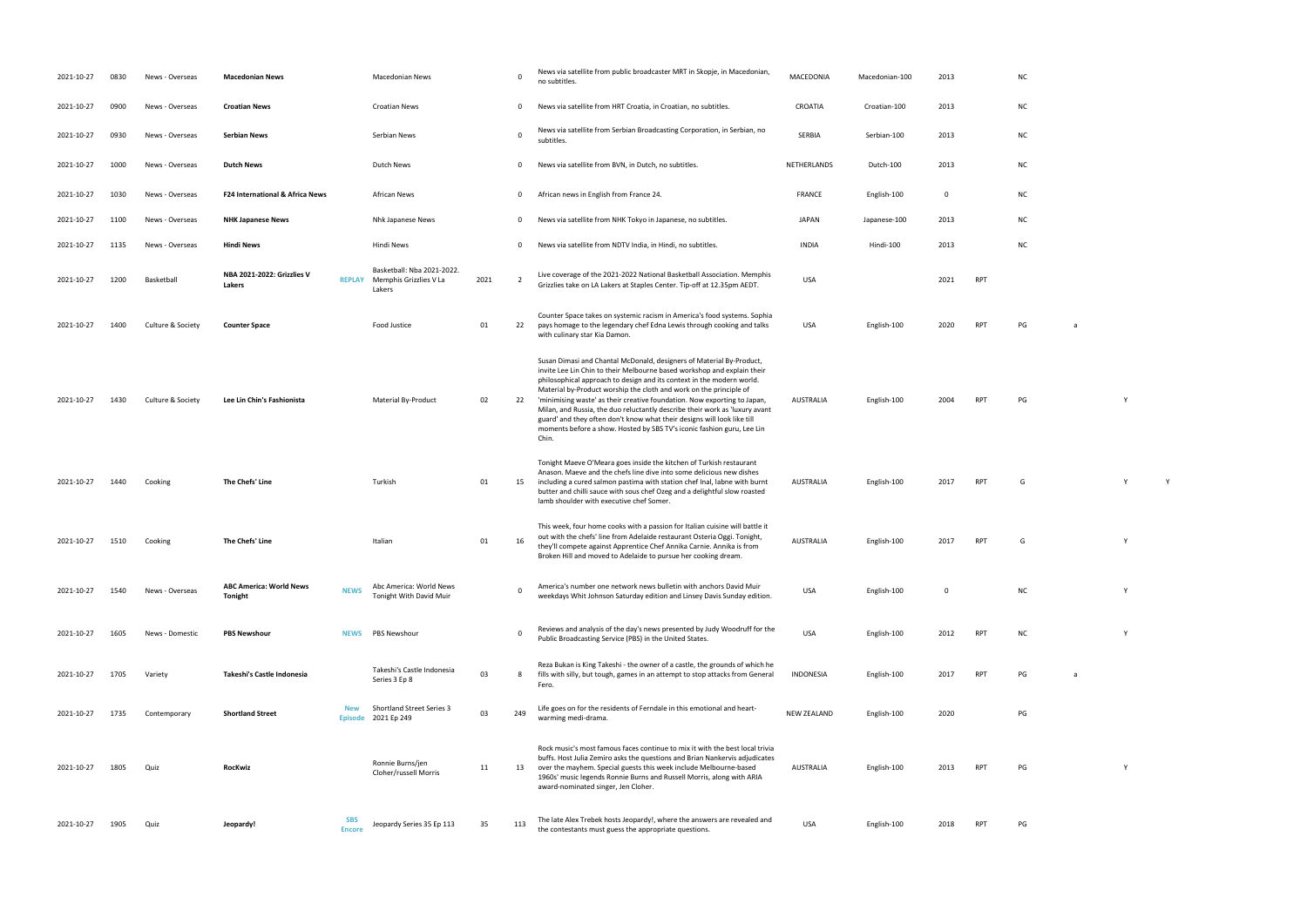| 2021-10-27 | 0830 | News - Overseas   | <b>Macedonian News</b>                     |                             | <b>Macedonian News</b>                                         |      | $\mathbf 0$    | News via satellite from public broadcaster MRT in Skopje, in Macedonian,<br>no subtitles.                                                                                                                                                                                                                                                                                                                                                                                                                                                                                                                               | MACEDONIA        | Macedonian-100 | 2013        |            | <b>NC</b> |   |   |
|------------|------|-------------------|--------------------------------------------|-----------------------------|----------------------------------------------------------------|------|----------------|-------------------------------------------------------------------------------------------------------------------------------------------------------------------------------------------------------------------------------------------------------------------------------------------------------------------------------------------------------------------------------------------------------------------------------------------------------------------------------------------------------------------------------------------------------------------------------------------------------------------------|------------------|----------------|-------------|------------|-----------|---|---|
| 2021-10-27 | 0900 | News - Overseas   | <b>Croatian News</b>                       |                             | Croatian News                                                  |      | 0              | News via satellite from HRT Croatia, in Croatian, no subtitles.                                                                                                                                                                                                                                                                                                                                                                                                                                                                                                                                                         | <b>CROATIA</b>   | Croatian-100   | 2013        |            | <b>NC</b> |   |   |
| 2021-10-27 | 0930 | News - Overseas   | <b>Serbian News</b>                        |                             | Serbian News                                                   |      | $\mathbf 0$    | News via satellite from Serbian Broadcasting Corporation, in Serbian, no<br>subtitles.                                                                                                                                                                                                                                                                                                                                                                                                                                                                                                                                  | <b>SERBIA</b>    | Serbian-100    | 2013        |            | <b>NC</b> |   |   |
| 2021-10-27 | 1000 | News - Overseas   | <b>Dutch News</b>                          |                             | <b>Dutch News</b>                                              |      | 0              | News via satellite from BVN, in Dutch, no subtitles.                                                                                                                                                                                                                                                                                                                                                                                                                                                                                                                                                                    | NETHERLANDS      | Dutch-100      | 2013        |            | <b>NC</b> |   |   |
| 2021-10-27 | 1030 | News - Overseas   | <b>F24 International &amp; Africa News</b> |                             | <b>African News</b>                                            |      | 0              | African news in English from France 24.                                                                                                                                                                                                                                                                                                                                                                                                                                                                                                                                                                                 | FRANCE           | English-100    | $\mathbf 0$ |            | <b>NC</b> |   |   |
| 2021-10-27 | 1100 | News - Overseas   | <b>NHK Japanese News</b>                   |                             | Nhk Japanese News                                              |      | 0              | News via satellite from NHK Tokyo in Japanese, no subtitles.                                                                                                                                                                                                                                                                                                                                                                                                                                                                                                                                                            | JAPAN            | Japanese-100   | 2013        |            | <b>NC</b> |   |   |
| 2021-10-27 | 1135 | News - Overseas   | Hindi News                                 |                             | Hindi News                                                     |      | 0              | News via satellite from NDTV India, in Hindi, no subtitles.                                                                                                                                                                                                                                                                                                                                                                                                                                                                                                                                                             | INDIA            | Hindi-100      | 2013        |            | <b>NC</b> |   |   |
| 2021-10-27 | 1200 | Basketball        | NBA 2021-2022: Grizzlies V<br>Lakers       | <b>REPLAY</b>               | Basketball: Nba 2021-2022.<br>Memphis Grizzlies V La<br>Lakers | 2021 | $\overline{2}$ | Live coverage of the 2021-2022 National Basketball Association. Memphis<br>Grizzlies take on LA Lakers at Staples Center. Tip-off at 12.35pm AEDT.                                                                                                                                                                                                                                                                                                                                                                                                                                                                      | <b>USA</b>       |                | 2021        | <b>RPT</b> |           |   |   |
| 2021-10-27 | 1400 | Culture & Society | <b>Counter Space</b>                       |                             | Food Justice                                                   | 01   | 22             | Counter Space takes on systemic racism in America's food systems. Sophia<br>pays homage to the legendary chef Edna Lewis through cooking and talks<br>with culinary star Kia Damon.                                                                                                                                                                                                                                                                                                                                                                                                                                     | <b>USA</b>       | English-100    | 2020        | <b>RPT</b> | PG        | a |   |
| 2021-10-27 | 1430 | Culture & Society | Lee Lin Chin's Fashionista                 |                             | Material By-Product                                            | 02   | 22             | Susan Dimasi and Chantal McDonald, designers of Material By-Product,<br>invite Lee Lin Chin to their Melbourne based workshop and explain their<br>philosophical approach to design and its context in the modern world.<br>Material by-Product worship the cloth and work on the principle of<br>'minimising waste' as their creative foundation. Now exporting to Japan,<br>Milan, and Russia, the duo reluctantly describe their work as 'luxury avant<br>guard' and they often don't know what their designs will look like till<br>moments before a show. Hosted by SBS TV's iconic fashion guru, Lee Lin<br>Chin. | AUSTRALIA        | English-100    | 2004        | <b>RPT</b> | PG        |   | Y |
| 2021-10-27 | 1440 | Cooking           | The Chefs' Line                            |                             | Turkish                                                        | 01   | 15             | Tonight Maeve O'Meara goes inside the kitchen of Turkish restaurant<br>Anason. Maeve and the chefs line dive into some delicious new dishes<br>including a cured salmon pastima with station chef Inal, labne with burnt<br>butter and chilli sauce with sous chef Ozeg and a delightful slow roasted<br>lamb shoulder with executive chef Somer.                                                                                                                                                                                                                                                                       | AUSTRALIA        | English-100    | 2017        | <b>RPT</b> | G         |   | Y |
| 2021-10-27 | 1510 | Cooking           | The Chefs' Line                            |                             | Italian                                                        | 01   | 16             | This week, four home cooks with a passion for Italian cuisine will battle it<br>out with the chefs' line from Adelaide restaurant Osteria Oggi. Tonight,<br>they'll compete against Apprentice Chef Annika Carnie. Annika is from<br>Broken Hill and moved to Adelaide to pursue her cooking dream.                                                                                                                                                                                                                                                                                                                     | <b>AUSTRALIA</b> | English-100    | 2017        | <b>RPT</b> | G         |   | Y |
| 2021-10-27 | 1540 | News - Overseas   | <b>ABC America: World News</b><br>Tonight  | <b>NEWS</b>                 | Abc America: World News<br>Tonight With David Muir             |      | $\mathbf 0$    | America's number one network news bulletin with anchors David Muir<br>weekdays Whit Johnson Saturday edition and Linsey Davis Sunday edition.                                                                                                                                                                                                                                                                                                                                                                                                                                                                           | <b>USA</b>       | English-100    | $\Omega$    |            | <b>NC</b> |   | Y |
| 2021-10-27 | 1605 | News - Domestic   | <b>PBS Newshour</b>                        |                             | NEWS PBS Newshour                                              |      | $\mathbf 0$    | Reviews and analysis of the day's news presented by Judy Woodruff for the<br>Public Broadcasting Service (PBS) in the United States.                                                                                                                                                                                                                                                                                                                                                                                                                                                                                    | USA              | English-100    | 2012        | <b>RPT</b> | <b>NC</b> |   | Y |
| 2021-10-27 | 1705 | Variety           | Takeshi's Castle Indonesia                 |                             | Takeshi's Castle Indonesia<br>Series 3 Ep 8                    | 03   | 8              | Reza Bukan is King Takeshi - the owner of a castle, the grounds of which he<br>fills with silly, but tough, games in an attempt to stop attacks from General<br>Fero.                                                                                                                                                                                                                                                                                                                                                                                                                                                   | <b>INDONESIA</b> | English-100    | 2017        | <b>RPT</b> | PG        | a |   |
| 2021-10-27 | 1735 | Contemporary      | <b>Shortland Street</b>                    | <b>New</b>                  | <b>Shortland Street Series 3</b><br>Episode 2021 Ep 249        | 03   | 249            | Life goes on for the residents of Ferndale in this emotional and heart-<br>warming medi-drama.                                                                                                                                                                                                                                                                                                                                                                                                                                                                                                                          | NEW ZEALAND      | English-100    | 2020        |            | PG        |   |   |
| 2021-10-27 | 1805 | Quiz              | <b>RocKwiz</b>                             |                             | Ronnie Burns/jen<br>Cloher/russell Morris                      | 11   | 13             | Rock music's most famous faces continue to mix it with the best local trivia<br>buffs. Host Julia Zemiro asks the questions and Brian Nankervis adjudicates<br>over the mayhem. Special guests this week include Melbourne-based<br>1960s' music legends Ronnie Burns and Russell Morris, along with ARIA<br>award-nominated singer, Jen Cloher.                                                                                                                                                                                                                                                                        | AUSTRALIA        | English-100    | 2013        | <b>RPT</b> | PG        |   | Y |
| 2021-10-27 | 1905 | Quiz              | Jeopardy!                                  | <b>SBS</b><br><b>Encore</b> | Jeopardy Series 35 Ep 113                                      | 35   | 113            | The late Alex Trebek hosts Jeopardy!, where the answers are revealed and<br>the contestants must guess the appropriate questions.                                                                                                                                                                                                                                                                                                                                                                                                                                                                                       | <b>USA</b>       | English-100    | 2018        | <b>RPT</b> | PG        |   |   |

- 
- 
- 
- 
- 
- 
- 
- sh-100 2004 RPT PG Y
	- RPT G Y Y Y
	- RPT G Y
	- white Johnson Saturday edition and Linsey Davis Sunday edition and Linsey Davis Sunday edition. USA English-100 O NC Young Sunday edition and Linsey Davis Sunday edition and Linsey Davis Sunday edition. USA English-100 O N
	- PUBLIC BROADCASTING STATES. USA ENGLISH-100 2012 RPT NC Y
	- **INDONESIA ENGLish-100 2017 PG** a
	- warming median median median median median median median median median median median median median median median median median median median median median median median median median median median median median median medi
	- RPT PG Y
		-
- 
- 
- 
- 
- 
- 
- 
- 
-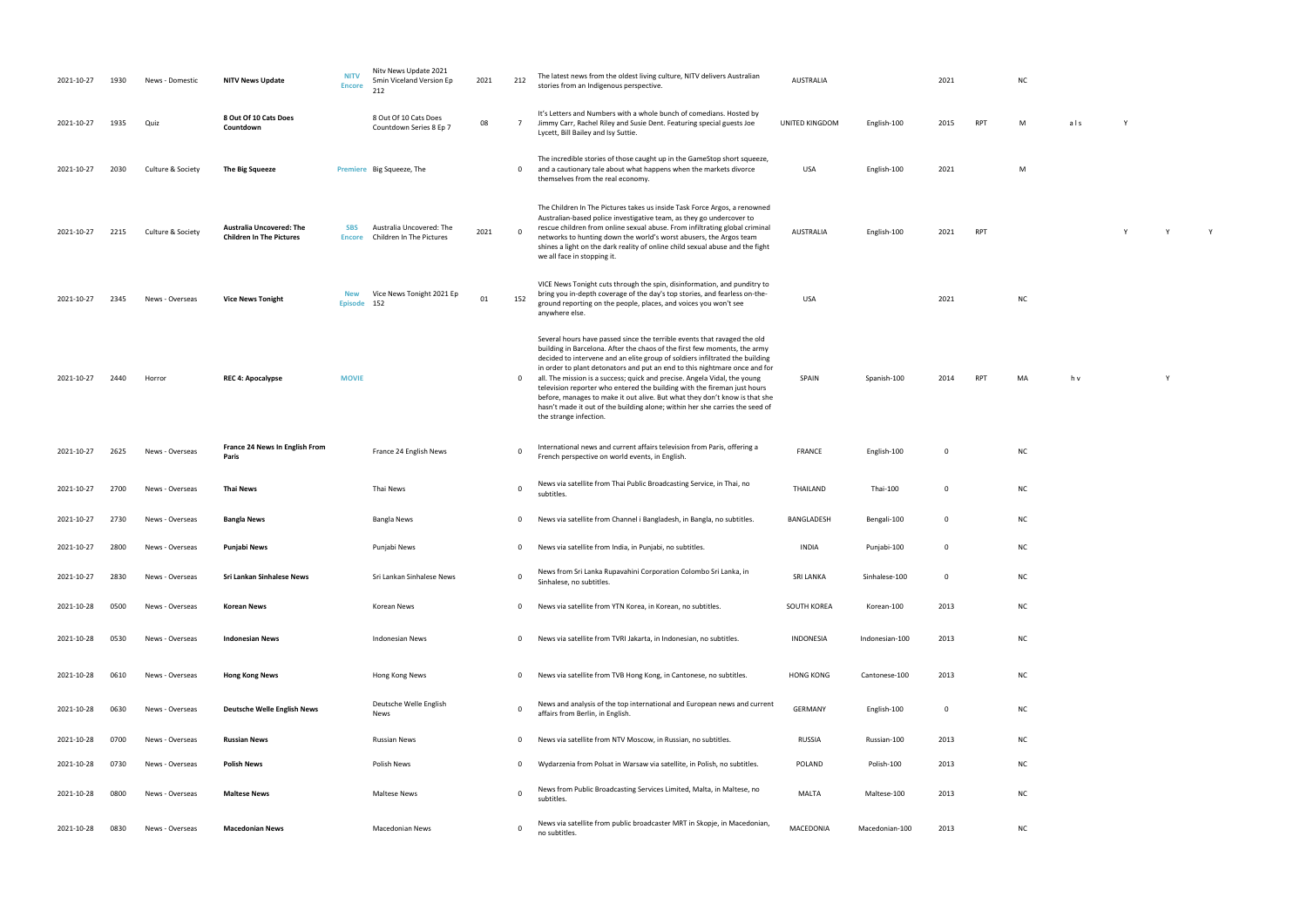stories from an Indigenous perspective. AUSTRALIA <sup>2021</sup> NC

RPT M als Y USA English-100 2021 M AUSTRALIA ENGLISH-100 2021 RPT Y Y Y Y Y Y

NC

RPT MA h v Y Y

| 2021-10-27 | 1930 | News - Domestic   | <b>NITV News Update</b>                                            | <b>NITV</b><br><b>Encore</b> | Nitv News Update 2021<br>5min Viceland Version Ep<br>212 | 2021 | 212          | The latest news from the oldest living culture, NITV delivers Australian<br>stories from an Indigenous perspective.                                                                                                                                                                                                                                                                                                                                                                                                                                                                                                                                                  | <b>AUSTRALIA</b> |                | 2021        |            | N <sub>C</sub> |
|------------|------|-------------------|--------------------------------------------------------------------|------------------------------|----------------------------------------------------------|------|--------------|----------------------------------------------------------------------------------------------------------------------------------------------------------------------------------------------------------------------------------------------------------------------------------------------------------------------------------------------------------------------------------------------------------------------------------------------------------------------------------------------------------------------------------------------------------------------------------------------------------------------------------------------------------------------|------------------|----------------|-------------|------------|----------------|
| 2021-10-27 | 1935 | Quiz              | 8 Out Of 10 Cats Does<br>Countdown                                 |                              | 8 Out Of 10 Cats Does<br>Countdown Series 8 Ep 7         | 08   | $7^{\circ}$  | It's Letters and Numbers with a whole bunch of comedians. Hosted by<br>Jimmy Carr, Rachel Riley and Susie Dent. Featuring special guests Joe<br>Lycett, Bill Bailey and Isy Suttie.                                                                                                                                                                                                                                                                                                                                                                                                                                                                                  | UNITED KINGDOM   | English-100    | 2015        | <b>RPT</b> | M              |
| 2021-10-27 | 2030 | Culture & Society | The Big Squeeze                                                    |                              | Premiere Big Squeeze, The                                |      | 0            | The incredible stories of those caught up in the GameStop short squeeze,<br>and a cautionary tale about what happens when the markets divorce<br>themselves from the real economy.                                                                                                                                                                                                                                                                                                                                                                                                                                                                                   | USA              | English-100    | 2021        |            | М              |
| 2021-10-27 | 2215 | Culture & Society | <b>Australia Uncovered: The</b><br><b>Children In The Pictures</b> | <b>SBS</b><br><b>Encore</b>  | Australia Uncovered: The<br>Children In The Pictures     | 2021 | 0            | The Children In The Pictures takes us inside Task Force Argos, a renowned<br>Australian-based police investigative team, as they go undercover to<br>rescue children from online sexual abuse. From infiltrating global criminal<br>networks to hunting down the world's worst abusers, the Argos team<br>shines a light on the dark reality of online child sexual abuse and the fight<br>we all face in stopping it.                                                                                                                                                                                                                                               | <b>AUSTRALIA</b> | English-100    | 2021        | <b>RPT</b> |                |
| 2021-10-27 | 2345 | News - Overseas   | <b>Vice News Tonight</b>                                           | <b>New</b><br><b>Episode</b> | Vice News Tonight 2021 Ep<br>152                         | 01   | 152          | VICE News Tonight cuts through the spin, disinformation, and punditry to<br>bring you in-depth coverage of the day's top stories, and fearless on-the-<br>ground reporting on the people, places, and voices you won't see<br>anywhere else.                                                                                                                                                                                                                                                                                                                                                                                                                         | USA              |                | 2021        |            | N <sub>C</sub> |
| 2021-10-27 | 2440 | Horror            | <b>REC 4: Apocalypse</b>                                           | <b>MOVIE</b>                 |                                                          |      | $\mathbf{0}$ | Several hours have passed since the terrible events that ravaged the old<br>building in Barcelona. After the chaos of the first few moments, the army<br>decided to intervene and an elite group of soldiers infiltrated the building<br>in order to plant detonators and put an end to this nightmare once and for<br>all. The mission is a success; quick and precise. Angela Vidal, the young<br>television reporter who entered the building with the fireman just hours<br>before, manages to make it out alive. But what they don't know is that she<br>hasn't made it out of the building alone; within her she carries the seed of<br>the strange infection. | SPAIN            | Spanish-100    | 2014        | <b>RPT</b> | M              |
| 2021-10-27 | 2625 | News - Overseas   | France 24 News In English From<br>Paris                            |                              | France 24 English News                                   |      | 0            | International news and current affairs television from Paris, offering a<br>French perspective on world events, in English.                                                                                                                                                                                                                                                                                                                                                                                                                                                                                                                                          | <b>FRANCE</b>    | English-100    | $\mathbf 0$ |            | N <sub>C</sub> |
| 2021-10-27 | 2700 | News - Overseas   | <b>Thai News</b>                                                   |                              | Thai News                                                |      | 0            | News via satellite from Thai Public Broadcasting Service, in Thai, no<br>subtitles.                                                                                                                                                                                                                                                                                                                                                                                                                                                                                                                                                                                  | THAILAND         | Thai-100       | 0           |            | N0             |
| 2021-10-27 | 2730 | News - Overseas   | <b>Bangla News</b>                                                 |                              | Bangla News                                              |      | 0            | News via satellite from Channel i Bangladesh, in Bangla, no subtitles.                                                                                                                                                                                                                                                                                                                                                                                                                                                                                                                                                                                               | BANGLADESH       | Bengali-100    | $\mathbf 0$ |            | N0             |
| 2021-10-27 | 2800 | News - Overseas   | Punjabi News                                                       |                              | Punjabi News                                             |      | 0            | News via satellite from India, in Punjabi, no subtitles.                                                                                                                                                                                                                                                                                                                                                                                                                                                                                                                                                                                                             | <b>INDIA</b>     | Punjabi-100    | 0           |            | N <sub>C</sub> |
| 2021-10-27 | 2830 | News - Overseas   | Sri Lankan Sinhalese News                                          |                              | Sri Lankan Sinhalese News                                |      | 0            | News from Sri Lanka Rupavahini Corporation Colombo Sri Lanka, in<br>Sinhalese, no subtitles.                                                                                                                                                                                                                                                                                                                                                                                                                                                                                                                                                                         | <b>SRI LANKA</b> | Sinhalese-100  | 0           |            | N0             |
| 2021-10-28 | 0500 | News - Overseas   | <b>Korean News</b>                                                 |                              | Korean News                                              |      | 0            | News via satellite from YTN Korea, in Korean, no subtitles.                                                                                                                                                                                                                                                                                                                                                                                                                                                                                                                                                                                                          | SOUTH KOREA      | Korean-100     | 2013        |            | N0             |
| 2021-10-28 | 0530 | News - Overseas   | <b>Indonesian News</b>                                             |                              | <b>Indonesian News</b>                                   |      | 0            | News via satellite from TVRI Jakarta, in Indonesian, no subtitles.                                                                                                                                                                                                                                                                                                                                                                                                                                                                                                                                                                                                   | <b>INDONESIA</b> | Indonesian-100 | 2013        |            | N0             |
| 2021-10-28 | 0610 | News - Overseas   | <b>Hong Kong News</b>                                              |                              | Hong Kong News                                           |      | $\mathbf{0}$ | News via satellite from TVB Hong Kong, in Cantonese, no subtitles.                                                                                                                                                                                                                                                                                                                                                                                                                                                                                                                                                                                                   | <b>HONG KONG</b> | Cantonese-100  | 2013        |            | N0             |
| 2021-10-28 | 0630 | News - Overseas   | <b>Deutsche Welle English News</b>                                 |                              | Deutsche Welle English<br>News                           |      | 0            | News and analysis of the top international and European news and current<br>affairs from Berlin, in English.                                                                                                                                                                                                                                                                                                                                                                                                                                                                                                                                                         | GERMANY          | English-100    | 0           |            | N0             |
| 2021-10-28 | 0700 | News - Overseas   | <b>Russian News</b>                                                |                              | <b>Russian News</b>                                      |      | 0            | News via satellite from NTV Moscow, in Russian, no subtitles.                                                                                                                                                                                                                                                                                                                                                                                                                                                                                                                                                                                                        | <b>RUSSIA</b>    | Russian-100    | 2013        |            | NO             |
| 2021-10-28 | 0730 | News - Overseas   | <b>Polish News</b>                                                 |                              | <b>Polish News</b>                                       |      | 0            | Wydarzenia from Polsat in Warsaw via satellite, in Polish, no subtitles.                                                                                                                                                                                                                                                                                                                                                                                                                                                                                                                                                                                             | POLAND           | Polish-100     | 2013        |            | N0             |
| 2021-10-28 | 0800 | News - Overseas   | <b>Maltese News</b>                                                |                              | <b>Maltese News</b>                                      |      | $\mathbf 0$  | News from Public Broadcasting Services Limited, Malta, in Maltese, no<br>subtitles.                                                                                                                                                                                                                                                                                                                                                                                                                                                                                                                                                                                  | <b>MALTA</b>     | Maltese-100    | 2013        |            | N0             |
| 2021-10-28 | 0830 | News - Overseas   | <b>Macedonian News</b>                                             |                              | Macedonian News                                          |      | 0            | News via satellite from public broadcaster MRT in Skopje, in Macedonian,<br>no subtitles.                                                                                                                                                                                                                                                                                                                                                                                                                                                                                                                                                                            | MACEDONIA        | Macedonian-100 | 2013        |            | N0             |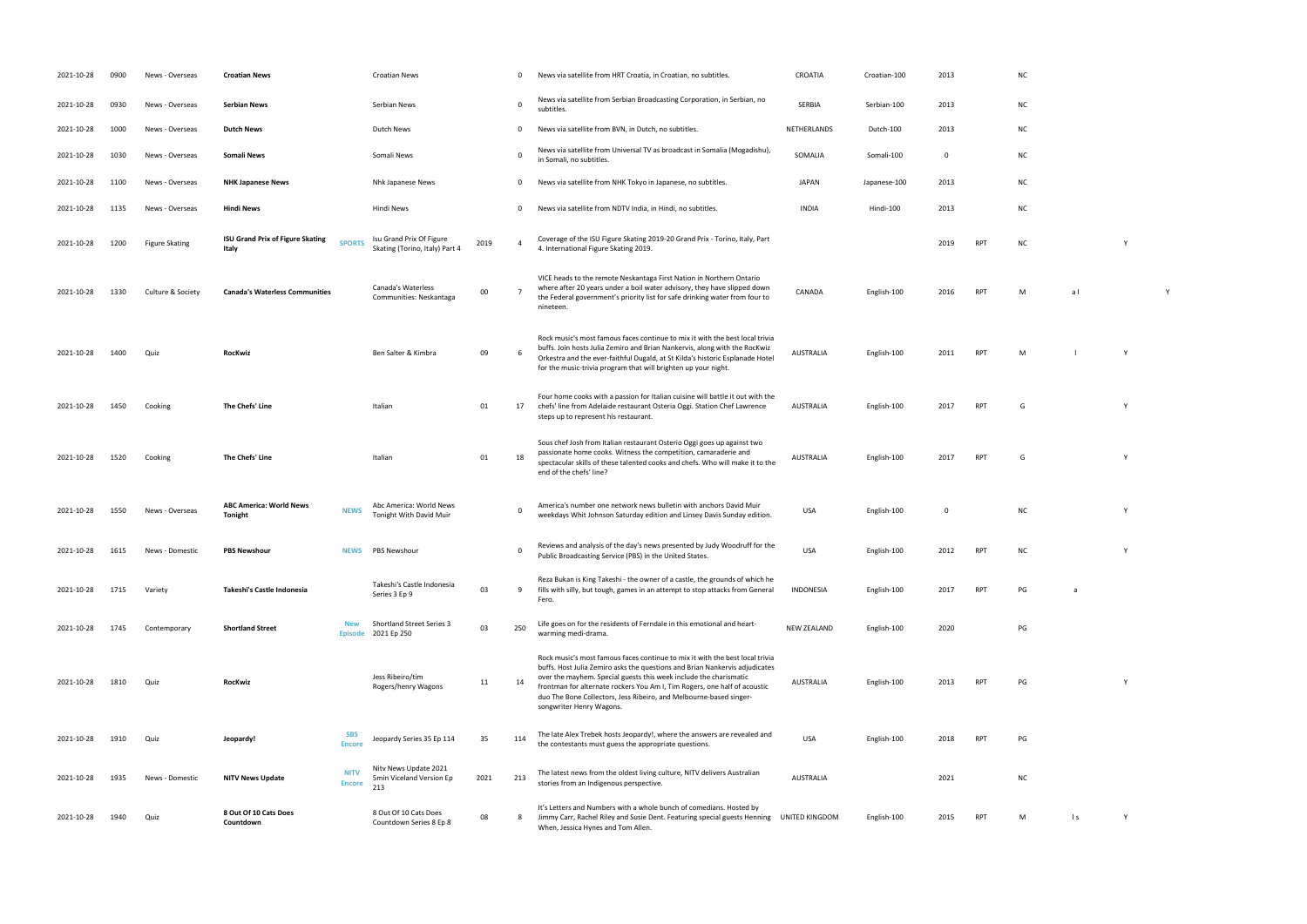- 
- 
- 
- 
- 
- 
- 4. International Figure Skating 2019. <sup>2019</sup> RPT NC <sup>Y</sup>
- RPT M al Y
	-
- RPT M l Y
- RPT G Y
- RPT G Y
	-
- white Johnson Saturday edition and Linsey Davis Sunday edition and Linsey Davis Sunday edition. USA English-100 O NC York 100 NC York 100 NC York 100 NC York 100 NC York 100 NC York 100 NC York 100 NC York 100 NC York 100
- Public Broadcasting States. USA English-100 2012 RPT NC Y
- **INDONESIA ENGLish-100 2017 RPT** 
	-
- RPT PG Y
- the contestants must guess the appropriate questions. USA English-100 2018 RPT PG
- $nc$
- UNITED KING MANUS RPT M M ls Y
- 
- 
- 
- 
- 
- 
- 
- 
- 
- 
- 

| 2021-10-28 | 0900 | News - Overseas       | <b>Croatian News</b>                             |                              | <b>Croatian News</b>                                       |      | 0            | News via satellite from HRT Croatia, in Croatian, no subtitles.                                                                                                                                                                                                                                                                                                                                                 | CROATIA            | Croatian-100 | 2013        |            | N <sub>C</sub> |
|------------|------|-----------------------|--------------------------------------------------|------------------------------|------------------------------------------------------------|------|--------------|-----------------------------------------------------------------------------------------------------------------------------------------------------------------------------------------------------------------------------------------------------------------------------------------------------------------------------------------------------------------------------------------------------------------|--------------------|--------------|-------------|------------|----------------|
| 2021-10-28 | 0930 | News - Overseas       | <b>Serbian News</b>                              |                              | Serbian News                                               |      | 0            | News via satellite from Serbian Broadcasting Corporation, in Serbian, no<br>subtitles.                                                                                                                                                                                                                                                                                                                          | SERBIA             | Serbian-100  | 2013        |            | N0             |
| 2021-10-28 | 1000 | News - Overseas       | <b>Dutch News</b>                                |                              | Dutch News                                                 |      | 0            | News via satellite from BVN, in Dutch, no subtitles.                                                                                                                                                                                                                                                                                                                                                            | NETHERLANDS        | Dutch-100    | 2013        |            | N <sub>C</sub> |
| 2021-10-28 | 1030 | News - Overseas       | Somali News                                      |                              | Somali News                                                |      | $\Omega$     | News via satellite from Universal TV as broadcast in Somalia (Mogadishu),<br>in Somali, no subtitles.                                                                                                                                                                                                                                                                                                           | SOMALIA            | Somali-100   | $\mathbf 0$ |            | NO             |
| 2021-10-28 | 1100 | News - Overseas       | <b>NHK Japanese News</b>                         |                              | Nhk Japanese News                                          |      | $\mathbf{0}$ | News via satellite from NHK Tokyo in Japanese, no subtitles.                                                                                                                                                                                                                                                                                                                                                    | <b>JAPAN</b>       | Japanese-100 | 2013        |            | N0             |
| 2021-10-28 | 1135 | News - Overseas       | <b>Hindi News</b>                                |                              | Hindi News                                                 |      | $\mathbf{0}$ | News via satellite from NDTV India, in Hindi, no subtitles.                                                                                                                                                                                                                                                                                                                                                     | <b>INDIA</b>       | Hindi-100    | 2013        |            | N0             |
| 2021-10-28 | 1200 | <b>Figure Skating</b> | <b>ISU Grand Prix of Figure Skating</b><br>Italy | <b>SPORTS</b>                | Isu Grand Prix Of Figure<br>Skating (Torino, Italy) Part 4 | 2019 |              | Coverage of the ISU Figure Skating 2019-20 Grand Prix - Torino, Italy, Part<br>4. International Figure Skating 2019.                                                                                                                                                                                                                                                                                            |                    |              | 2019        | <b>RPT</b> | N0             |
| 2021-10-28 | 1330 | Culture & Society     | <b>Canada's Waterless Communities</b>            |                              | Canada's Waterless<br>Communities: Neskantaga              | 00   |              | VICE heads to the remote Neskantaga First Nation in Northern Ontario<br>where after 20 years under a boil water advisory, they have slipped down<br>the Federal government's priority list for safe drinking water from four to<br>nineteen.                                                                                                                                                                    | CANADA             | English-100  | 2016        | <b>RPT</b> | M              |
| 2021-10-28 | 1400 | Quiz                  | RocKwiz                                          |                              | Ben Salter & Kimbra                                        | 09   | 6            | Rock music's most famous faces continue to mix it with the best local trivia<br>buffs. Join hosts Julia Zemiro and Brian Nankervis, along with the RocKwiz<br>Orkestra and the ever-faithful Dugald, at St Kilda's historic Esplanade Hotel<br>for the music-trivia program that will brighten up your night.                                                                                                   | <b>AUSTRALIA</b>   | English-100  | 2011        | <b>RPT</b> | M              |
| 2021-10-28 | 1450 | Cooking               | The Chefs' Line                                  |                              | Italian                                                    | 01   | 17           | Four home cooks with a passion for Italian cuisine will battle it out with the<br>chefs' line from Adelaide restaurant Osteria Oggi. Station Chef Lawrence<br>steps up to represent his restaurant.                                                                                                                                                                                                             | AUSTRALIA          | English-100  | 2017        | <b>RPT</b> | G              |
| 2021-10-28 | 1520 | Cooking               | The Chefs' Line                                  |                              | Italian                                                    | 01   | 18           | Sous chef Josh from Italian restaurant Osterio Oggi goes up against two<br>passionate home cooks. Witness the competition, camaraderie and<br>spectacular skills of these talented cooks and chefs. Who will make it to the<br>end of the chefs' line?                                                                                                                                                          | AUSTRALIA          | English-100  | 2017        | <b>RPT</b> | G              |
| 2021-10-28 | 1550 | News - Overseas       | <b>ABC America: World News</b><br>Tonight        | <b>NEWS</b>                  | Abc America: World News<br>Tonight With David Muir         |      | 0            | America's number one network news bulletin with anchors David Muir<br>weekdays Whit Johnson Saturday edition and Linsey Davis Sunday edition.                                                                                                                                                                                                                                                                   | <b>USA</b>         | English-100  | $\mathbf 0$ |            | N0             |
| 2021-10-28 | 1615 | News - Domestic       | <b>PBS Newshour</b>                              |                              | NEWS PBS Newshour                                          |      | 0            | Reviews and analysis of the day's news presented by Judy Woodruff for the<br>Public Broadcasting Service (PBS) in the United States.                                                                                                                                                                                                                                                                            | <b>USA</b>         | English-100  | 2012        | <b>RPT</b> | N              |
| 2021-10-28 | 1715 | Variety               | Takeshi's Castle Indonesia                       |                              | Takeshi's Castle Indonesia<br>Series 3 Ep 9                | 03   | 9            | Reza Bukan is King Takeshi - the owner of a castle, the grounds of which he<br>fills with silly, but tough, games in an attempt to stop attacks from General<br>Fero.                                                                                                                                                                                                                                           | <b>INDONESIA</b>   | English-100  | 2017        | RPT        | PG             |
| 2021-10-28 | 1745 | Contemporary          | <b>Shortland Street</b>                          | <b>New</b><br><b>Episode</b> | Shortland Street Series 3<br>2021 Ep 250                   | 03   | 250          | Life goes on for the residents of Ferndale in this emotional and heart-<br>warming medi-drama.                                                                                                                                                                                                                                                                                                                  | <b>NEW ZEALAND</b> | English-100  | 2020        |            | PG             |
| 2021-10-28 | 1810 | Quiz                  | <b>RocKwiz</b>                                   |                              | Jess Ribeiro/tim<br>Rogers/henry Wagons                    | 11   | 14           | Rock music's most famous faces continue to mix it with the best local trivia<br>buffs. Host Julia Zemiro asks the questions and Brian Nankervis adjudicates<br>over the mayhem. Special guests this week include the charismatic<br>frontman for alternate rockers You Am I, Tim Rogers, one half of acoustic<br>duo The Bone Collectors, Jess Ribeiro, and Melbourne-based singer-<br>songwriter Henry Wagons. | <b>AUSTRALIA</b>   | English-100  | 2013        | <b>RPT</b> | PG             |
| 2021-10-28 | 1910 | Quiz                  | Jeopardy!                                        | <b>SBS</b><br><b>Encore</b>  | Jeopardy Series 35 Ep 114                                  | 35   | 114          | The late Alex Trebek hosts Jeopardy!, where the answers are revealed and<br>the contestants must guess the appropriate questions.                                                                                                                                                                                                                                                                               | <b>USA</b>         | English-100  | 2018        | <b>RPT</b> | PG             |
| 2021-10-28 | 1935 | News - Domestic       | <b>NITV News Update</b>                          | <b>NITV</b><br><b>Encore</b> | Nitv News Update 2021<br>5min Viceland Version Ep<br>213   | 2021 | 213          | The latest news from the oldest living culture, NITV delivers Australian<br>stories from an Indigenous perspective.                                                                                                                                                                                                                                                                                             | <b>AUSTRALIA</b>   |              | 2021        |            | N              |
| 2021-10-28 | 1940 | Quiz                  | 8 Out Of 10 Cats Does<br>Countdown               |                              | 8 Out Of 10 Cats Does<br>Countdown Series 8 Ep 8           | 08   | 8            | It's Letters and Numbers with a whole bunch of comedians. Hosted by<br>Jimmy Carr, Rachel Riley and Susie Dent. Featuring special guests Henning<br>When, Jessica Hynes and Tom Allen.                                                                                                                                                                                                                          | UNITED KINGDOM     | English-100  | 2015        | <b>RPT</b> | M              |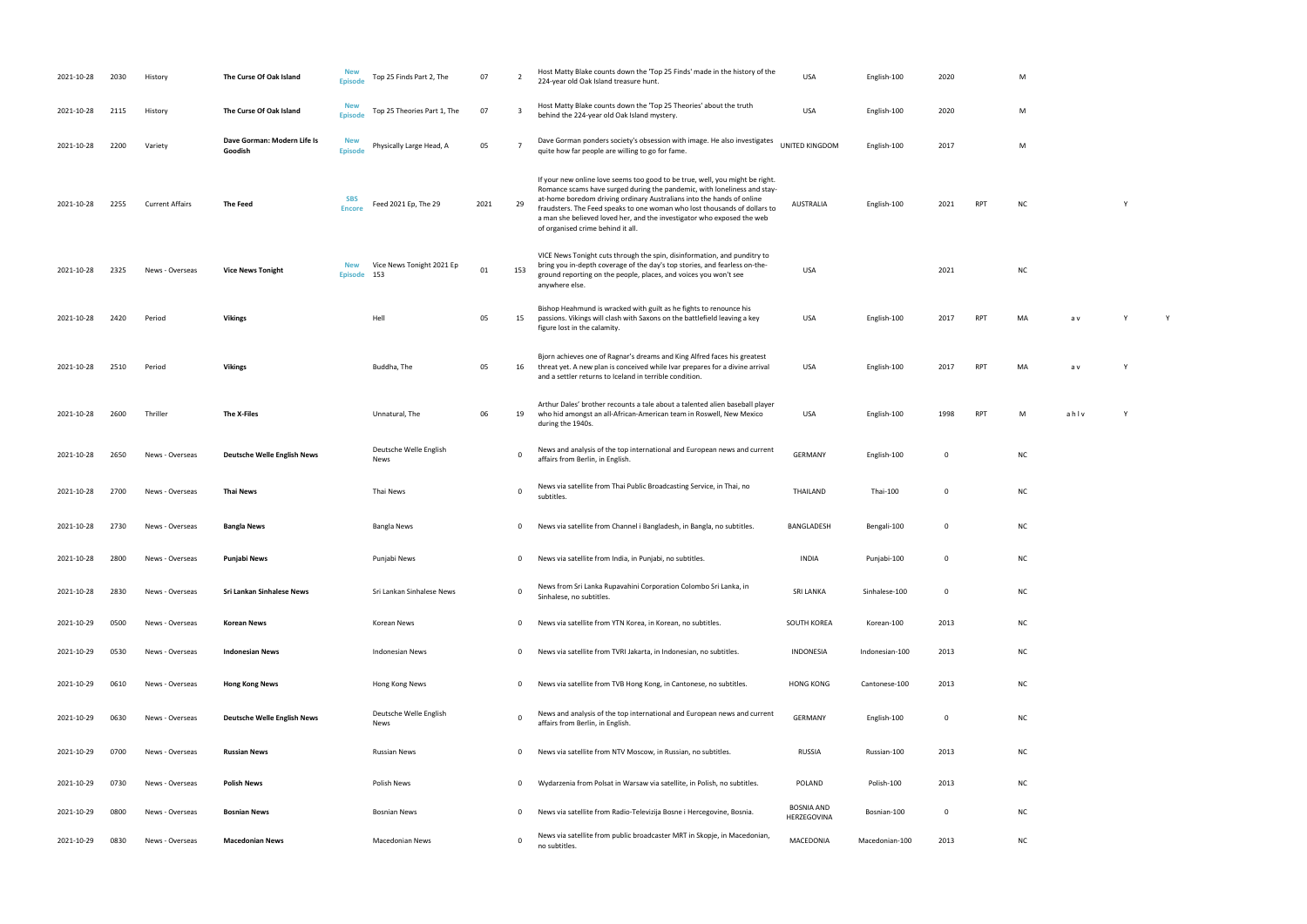| 2021-10-28 | 2030 | History                | The Curse Of Oak Island                | <b>New</b><br><b>Episode</b> | Top 25 Finds Part 2, The         | 07   | $\overline{2}$ | Host Matty Blake counts down the 'Top 25 Finds' made in the history of the<br>224-year old Oak Island treasure hunt.                                                                                                                                                                                                                                                                                                          | <b>USA</b>                       | English-100    | 2020        |            | M              |
|------------|------|------------------------|----------------------------------------|------------------------------|----------------------------------|------|----------------|-------------------------------------------------------------------------------------------------------------------------------------------------------------------------------------------------------------------------------------------------------------------------------------------------------------------------------------------------------------------------------------------------------------------------------|----------------------------------|----------------|-------------|------------|----------------|
| 2021-10-28 | 2115 | History                | The Curse Of Oak Island                | <b>New</b><br><b>Episode</b> | Top 25 Theories Part 1, The      | 07   | 3              | Host Matty Blake counts down the 'Top 25 Theories' about the truth<br>behind the 224-year old Oak Island mystery.                                                                                                                                                                                                                                                                                                             | USA                              | English-100    | 2020        |            | M              |
| 2021-10-28 | 2200 | Variety                | Dave Gorman: Modern Life Is<br>Goodish | <b>New</b><br><b>Episode</b> | Physically Large Head, A         | 05   |                | Dave Gorman ponders society's obsession with image. He also investigates<br>quite how far people are willing to go for fame.                                                                                                                                                                                                                                                                                                  | <b>UNITED KINGDOM</b>            | English-100    | 2017        |            | M              |
| 2021-10-28 | 2255 | <b>Current Affairs</b> | The Feed                               | <b>SBS</b><br><b>Encore</b>  | Feed 2021 Ep, The 29             | 2021 | 29             | If your new online love seems too good to be true, well, you might be right.<br>Romance scams have surged during the pandemic, with loneliness and stay-<br>at-home boredom driving ordinary Australians into the hands of online<br>fraudsters. The Feed speaks to one woman who lost thousands of dollars to<br>a man she believed loved her, and the investigator who exposed the web<br>of organised crime behind it all. | <b>AUSTRALIA</b>                 | English-100    | 2021        | <b>RPT</b> | N              |
| 2021-10-28 | 2325 | News - Overseas        | <b>Vice News Tonight</b>               | <b>New</b><br><b>Episode</b> | Vice News Tonight 2021 Ep<br>153 | 01   | 153            | VICE News Tonight cuts through the spin, disinformation, and punditry to<br>bring you in-depth coverage of the day's top stories, and fearless on-the-<br>ground reporting on the people, places, and voices you won't see<br>anywhere else.                                                                                                                                                                                  | USA                              |                | 2021        |            | N0             |
| 2021-10-28 | 2420 | Period                 | <b>Vikings</b>                         |                              | Hell                             | 05   | 15             | Bishop Heahmund is wracked with guilt as he fights to renounce his<br>passions. Vikings will clash with Saxons on the battlefield leaving a key<br>figure lost in the calamity.                                                                                                                                                                                                                                               | <b>USA</b>                       | English-100    | 2017        | <b>RPT</b> | M/             |
| 2021-10-28 | 2510 | Period                 | <b>Vikings</b>                         |                              | Buddha, The                      | 05   | 16             | Bjorn achieves one of Ragnar's dreams and King Alfred faces his greatest<br>threat yet. A new plan is conceived while Ivar prepares for a divine arrival<br>and a settler returns to Iceland in terrible condition.                                                                                                                                                                                                           | USA                              | English-100    | 2017        | <b>RPT</b> | M              |
| 2021-10-28 | 2600 | Thriller               | The X-Files                            |                              | Unnatural, The                   | 06   | 19             | Arthur Dales' brother recounts a tale about a talented alien baseball player<br>who hid amongst an all-African-American team in Roswell, New Mexico<br>during the 1940s.                                                                                                                                                                                                                                                      | USA                              | English-100    | 1998        | <b>RPT</b> | M              |
| 2021-10-28 | 2650 | News - Overseas        | <b>Deutsche Welle English News</b>     |                              | Deutsche Welle English<br>News   |      | 0              | News and analysis of the top international and European news and current<br>affairs from Berlin, in English.                                                                                                                                                                                                                                                                                                                  | <b>GERMANY</b>                   | English-100    | 0           |            | N <sub>C</sub> |
| 2021-10-28 | 2700 | News - Overseas        | <b>Thai News</b>                       |                              | Thai News                        |      | 0              | News via satellite from Thai Public Broadcasting Service, in Thai, no<br>subtitles.                                                                                                                                                                                                                                                                                                                                           | THAILAND                         | Thai-100       | $\mathbf 0$ |            | N <sub>C</sub> |
| 2021-10-28 | 2730 | News - Overseas        | <b>Bangla News</b>                     |                              | <b>Bangla News</b>               |      | 0              | News via satellite from Channel i Bangladesh, in Bangla, no subtitles.                                                                                                                                                                                                                                                                                                                                                        | BANGLADESH                       | Bengali-100    | $\mathbf 0$ |            | N <sub>C</sub> |
| 2021-10-28 | 2800 | News - Overseas        | Punjabi News                           |                              | Punjabi News                     |      | 0              | News via satellite from India, in Punjabi, no subtitles.                                                                                                                                                                                                                                                                                                                                                                      | <b>INDIA</b>                     | Punjabi-100    | $\mathbf 0$ |            | N0             |
| 2021-10-28 | 2830 | News - Overseas        | Sri Lankan Sinhalese News              |                              | Sri Lankan Sinhalese News        |      | 0              | News from Sri Lanka Rupavahini Corporation Colombo Sri Lanka, in<br>Sinhalese, no subtitles.                                                                                                                                                                                                                                                                                                                                  | <b>SRI LANKA</b>                 | Sinhalese-100  | $\mathbf 0$ |            | N0             |
| 2021-10-29 | 0500 | News - Overseas        | <b>Korean News</b>                     |                              | Korean News                      |      | 0              | News via satellite from YTN Korea, in Korean, no subtitles.                                                                                                                                                                                                                                                                                                                                                                   | <b>SOUTH KOREA</b>               | Korean-100     | 2013        |            | N0             |
| 2021-10-29 | 0530 | News - Overseas        | <b>Indonesian News</b>                 |                              | <b>Indonesian News</b>           |      | 0              | News via satellite from TVRI Jakarta, in Indonesian, no subtitles.                                                                                                                                                                                                                                                                                                                                                            | <b>INDONESIA</b>                 | Indonesian-100 | 2013        |            | N0             |
| 2021-10-29 | 0610 | News - Overseas        | <b>Hong Kong News</b>                  |                              | Hong Kong News                   |      | 0              | News via satellite from TVB Hong Kong, in Cantonese, no subtitles.                                                                                                                                                                                                                                                                                                                                                            | <b>HONG KONG</b>                 | Cantonese-100  | 2013        |            | N0             |
| 2021-10-29 | 0630 | News - Overseas        | <b>Deutsche Welle English News</b>     |                              | Deutsche Welle English<br>News   |      | 0              | News and analysis of the top international and European news and current<br>affairs from Berlin, in English.                                                                                                                                                                                                                                                                                                                  | <b>GERMANY</b>                   | English-100    | 0           |            | N0             |
| 2021-10-29 | 0700 | News - Overseas        | <b>Russian News</b>                    |                              | <b>Russian News</b>              |      | 0              | News via satellite from NTV Moscow, in Russian, no subtitles.                                                                                                                                                                                                                                                                                                                                                                 | <b>RUSSIA</b>                    | Russian-100    | 2013        |            | N0             |
| 2021-10-29 | 0730 | News - Overseas        | Polish News                            |                              | Polish News                      |      | 0              | Wydarzenia from Polsat in Warsaw via satellite, in Polish, no subtitles.                                                                                                                                                                                                                                                                                                                                                      | POLAND                           | Polish-100     | 2013        |            | N0             |
| 2021-10-29 | 0800 | News - Overseas        | <b>Bosnian News</b>                    |                              | <b>Bosnian News</b>              |      | 0              | News via satellite from Radio-Televizija Bosne i Hercegovine, Bosnia.                                                                                                                                                                                                                                                                                                                                                         | <b>BOSNIA AND</b><br>HERZEGOVINA | Bosnian-100    | $\mathbf 0$ |            | N0             |
| 2021-10-29 | 0830 | News - Overseas        | <b>Macedonian News</b>                 |                              | <b>Macedonian News</b>           |      | 0              | News via satellite from public broadcaster MRT in Skopje, in Macedonian,<br>no subtitles.                                                                                                                                                                                                                                                                                                                                     | MACEDONIA                        | Macedonian-100 | 2013        |            | N0             |

- 
- 
- 
- RPT NC Y
	-
- NC
- PT MA av Y Y
- PT MA av Y
- RPT M ahlv Y
	-
	-
	-
	-
	-
	-
	-
	-
	-
	-
	-
	-
	-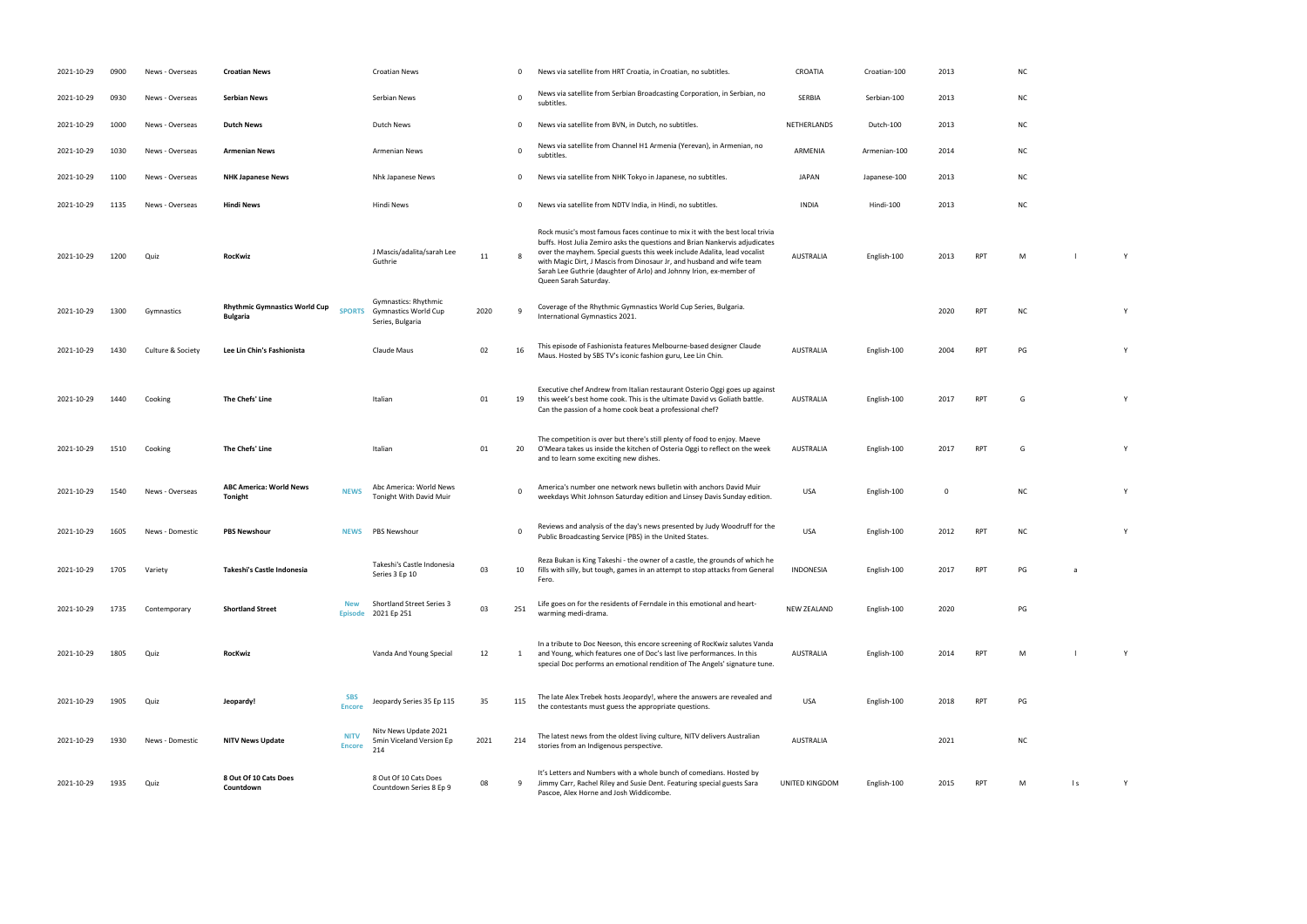| 2021-10-29 | 0900 | News - Overseas   | <b>Croatian News</b>                                    |                              | <b>Croatian News</b>                                                    |      | 0           | News via satellite from HRT Croatia, in Croatian, no subtitles.                                                                                                                                                                                                                                                                                                                                                  | CROATIA            | Croatian-100 | 2013        |            | N0             |
|------------|------|-------------------|---------------------------------------------------------|------------------------------|-------------------------------------------------------------------------|------|-------------|------------------------------------------------------------------------------------------------------------------------------------------------------------------------------------------------------------------------------------------------------------------------------------------------------------------------------------------------------------------------------------------------------------------|--------------------|--------------|-------------|------------|----------------|
| 2021-10-29 | 0930 | News - Overseas   | <b>Serbian News</b>                                     |                              | Serbian News                                                            |      | $\mathbf 0$ | News via satellite from Serbian Broadcasting Corporation, in Serbian, no<br>subtitles.                                                                                                                                                                                                                                                                                                                           | SERBIA             | Serbian-100  | 2013        |            | NO             |
| 2021-10-29 | 1000 | News - Overseas   | <b>Dutch News</b>                                       |                              | Dutch News                                                              |      | 0           | News via satellite from BVN, in Dutch, no subtitles.                                                                                                                                                                                                                                                                                                                                                             | NETHERLANDS        | Dutch-100    | 2013        |            | NO             |
| 2021-10-29 | 1030 | News - Overseas   | <b>Armenian News</b>                                    |                              | <b>Armenian News</b>                                                    |      | $\mathbf 0$ | News via satellite from Channel H1 Armenia (Yerevan), in Armenian, no<br>subtitles.                                                                                                                                                                                                                                                                                                                              | ARMENIA            | Armenian-100 | 2014        |            | NO             |
| 2021-10-29 | 1100 | News - Overseas   | <b>NHK Japanese News</b>                                |                              | Nhk Japanese News                                                       |      | $\mathbf 0$ | News via satellite from NHK Tokyo in Japanese, no subtitles.                                                                                                                                                                                                                                                                                                                                                     | <b>JAPAN</b>       | Japanese-100 | 2013        |            | N <sub>C</sub> |
| 2021-10-29 | 1135 | News - Overseas   | <b>Hindi News</b>                                       |                              | Hindi News                                                              |      | $\mathbf 0$ | News via satellite from NDTV India, in Hindi, no subtitles.                                                                                                                                                                                                                                                                                                                                                      | <b>INDIA</b>       | Hindi-100    | 2013        |            | N <sub>C</sub> |
| 2021-10-29 | 1200 | Quiz              | <b>RocKwiz</b>                                          |                              | J Mascis/adalita/sarah Lee<br>Guthrie                                   | 11   | 8           | Rock music's most famous faces continue to mix it with the best local trivia<br>buffs. Host Julia Zemiro asks the questions and Brian Nankervis adjudicates<br>over the mayhem. Special guests this week include Adalita, lead vocalist<br>with Magic Dirt, J Mascis from Dinosaur Jr, and husband and wife team<br>Sarah Lee Guthrie (daughter of Arlo) and Johnny Irion, ex-member of<br>Queen Sarah Saturday. | <b>AUSTRALIA</b>   | English-100  | 2013        | <b>RPT</b> | M              |
| 2021-10-29 | 1300 | Gymnastics        | <b>Rhythmic Gymnastics World Cup</b><br><b>Bulgaria</b> | <b>SPORTS</b>                | Gymnastics: Rhythmic<br><b>Gymnastics World Cup</b><br>Series, Bulgaria | 2020 | <b>q</b>    | Coverage of the Rhythmic Gymnastics World Cup Series, Bulgaria.<br>International Gymnastics 2021.                                                                                                                                                                                                                                                                                                                |                    |              | 2020        | <b>RPT</b> | NO             |
| 2021-10-29 | 1430 | Culture & Society | Lee Lin Chin's Fashionista                              |                              | Claude Maus                                                             | 02   | 16          | This episode of Fashionista features Melbourne-based designer Claude<br>Maus. Hosted by SBS TV's iconic fashion guru, Lee Lin Chin.                                                                                                                                                                                                                                                                              | AUSTRALIA          | English-100  | 2004        | <b>RPT</b> | PG             |
| 2021-10-29 | 1440 | Cooking           | The Chefs' Line                                         |                              | Italian                                                                 | 01   | 19          | Executive chef Andrew from Italian restaurant Osterio Oggi goes up against<br>this week's best home cook. This is the ultimate David vs Goliath battle.<br>Can the passion of a home cook beat a professional chef?                                                                                                                                                                                              | AUSTRALIA          | English-100  | 2017        | <b>RPT</b> | G              |
| 2021-10-29 | 1510 | Cooking           | The Chefs' Line                                         |                              | Italian                                                                 | 01   | 20          | The competition is over but there's still plenty of food to enjoy. Maeve<br>O'Meara takes us inside the kitchen of Osteria Oggi to reflect on the week<br>and to learn some exciting new dishes.                                                                                                                                                                                                                 | AUSTRALIA          | English-100  | 2017        | <b>RPT</b> | G              |
| 2021-10-29 | 1540 | News - Overseas   | <b>ABC America: World News</b><br>Tonight               | <b>NEWS</b>                  | Abc America: World News<br>Tonight With David Muir                      |      | $\mathbf 0$ | America's number one network news bulletin with anchors David Muir<br>weekdays Whit Johnson Saturday edition and Linsey Davis Sunday edition.                                                                                                                                                                                                                                                                    | <b>USA</b>         | English-100  | $\mathbf 0$ |            | N0             |
| 2021-10-29 | 1605 | News - Domestic   | <b>PBS Newshour</b>                                     | <b>NEWS</b>                  | PBS Newshour                                                            |      | $\Omega$    | Reviews and analysis of the day's news presented by Judy Woodruff for the<br>Public Broadcasting Service (PBS) in the United States.                                                                                                                                                                                                                                                                             | <b>USA</b>         | English-100  | 2012        | <b>RPT</b> | N              |
| 2021-10-29 | 1705 | Variety           | Takeshi's Castle Indonesia                              |                              | Takeshi's Castle Indonesia<br>Series 3 Ep 10                            | 03   | 10          | Reza Bukan is King Takeshi - the owner of a castle, the grounds of which he<br>fills with silly, but tough, games in an attempt to stop attacks from General<br>Fero.                                                                                                                                                                                                                                            | INDONESIA          | English-100  | 2017        | RPT        | PG             |
| 2021-10-29 | 1735 | Contemporary      | <b>Shortland Street</b>                                 | <b>New</b><br><b>Episode</b> | <b>Shortland Street Series 3</b><br>2021 Ep 251                         | 03   | 251         | Life goes on for the residents of Ferndale in this emotional and heart-<br>warming medi-drama.                                                                                                                                                                                                                                                                                                                   | <b>NEW ZEALAND</b> | English-100  | 2020        |            | PG             |
| 2021-10-29 | 1805 | Quiz              | <b>RocKwiz</b>                                          |                              | Vanda And Young Special                                                 | 12   | 1           | In a tribute to Doc Neeson, this encore screening of RocKwiz salutes Vanda<br>and Young, which features one of Doc's last live performances. In this<br>special Doc performs an emotional rendition of The Angels' signature tune.                                                                                                                                                                               | <b>AUSTRALIA</b>   | English-100  | 2014        | <b>RPT</b> | M              |
| 2021-10-29 | 1905 | Quiz              | Jeopardy!                                               | <b>SBS</b><br><b>Encore</b>  | Jeopardy Series 35 Ep 115                                               | 35   | 115         | The late Alex Trebek hosts Jeopardy!, where the answers are revealed and<br>the contestants must guess the appropriate questions.                                                                                                                                                                                                                                                                                | <b>USA</b>         | English-100  | 2018        | <b>RPT</b> | PG             |
| 2021-10-29 | 1930 | News - Domestic   | <b>NITV News Update</b>                                 | <b>NITV</b><br><b>Encore</b> | Nity News Update 2021<br>5min Viceland Version Ep<br>214                | 2021 | 214         | The latest news from the oldest living culture, NITV delivers Australian<br>stories from an Indigenous perspective.                                                                                                                                                                                                                                                                                              | AUSTRALIA          |              | 2021        |            |                |
| 2021-10-29 | 1935 | Quiz              | 8 Out Of 10 Cats Does<br>Countdown                      |                              | 8 Out Of 10 Cats Does<br>Countdown Series 8 Ep 9                        | 08   | 9           | It's Letters and Numbers with a whole bunch of comedians. Hosted by<br>Jimmy Carr, Rachel Riley and Susie Dent. Featuring special guests Sara<br>Pascoe, Alex Horne and Josh Widdicombe.                                                                                                                                                                                                                         | UNITED KINGDOM     | English-100  | 2015        | <b>RPT</b> | M              |

- 
- 
- 
- 
- 
- 
- RPT M l Y
- International Gymnastics 2021. <sup>2020</sup> RPT NC <sup>Y</sup>
	-
- Maus. Hosted by SBS TV's iconic fashion guru, Lee Lin Chin. Australia English-100 2004 RPT PG Y
- AUSTRALIA English-100 2017 RPT G Y
- RPT G Y
- which Johnson Saturday edition and Linsey Davis Sunday edition and Linsey Davis Sunday edition. USA English-100 O NC Y
- PUBLIC BROADCASTING STATES. USA ENGLISH-100 2012 RPT NC Y
- RPT PG a
- warming media media media media media media media media media media media media media media media media media <br>PG
- RPT M l Y
- the contestants must guess the appropriate questions. USA English-100 2018 RPT PG
- $nc$
- RPT M ls Y
- 
- 
- 
- 
- 
- 
-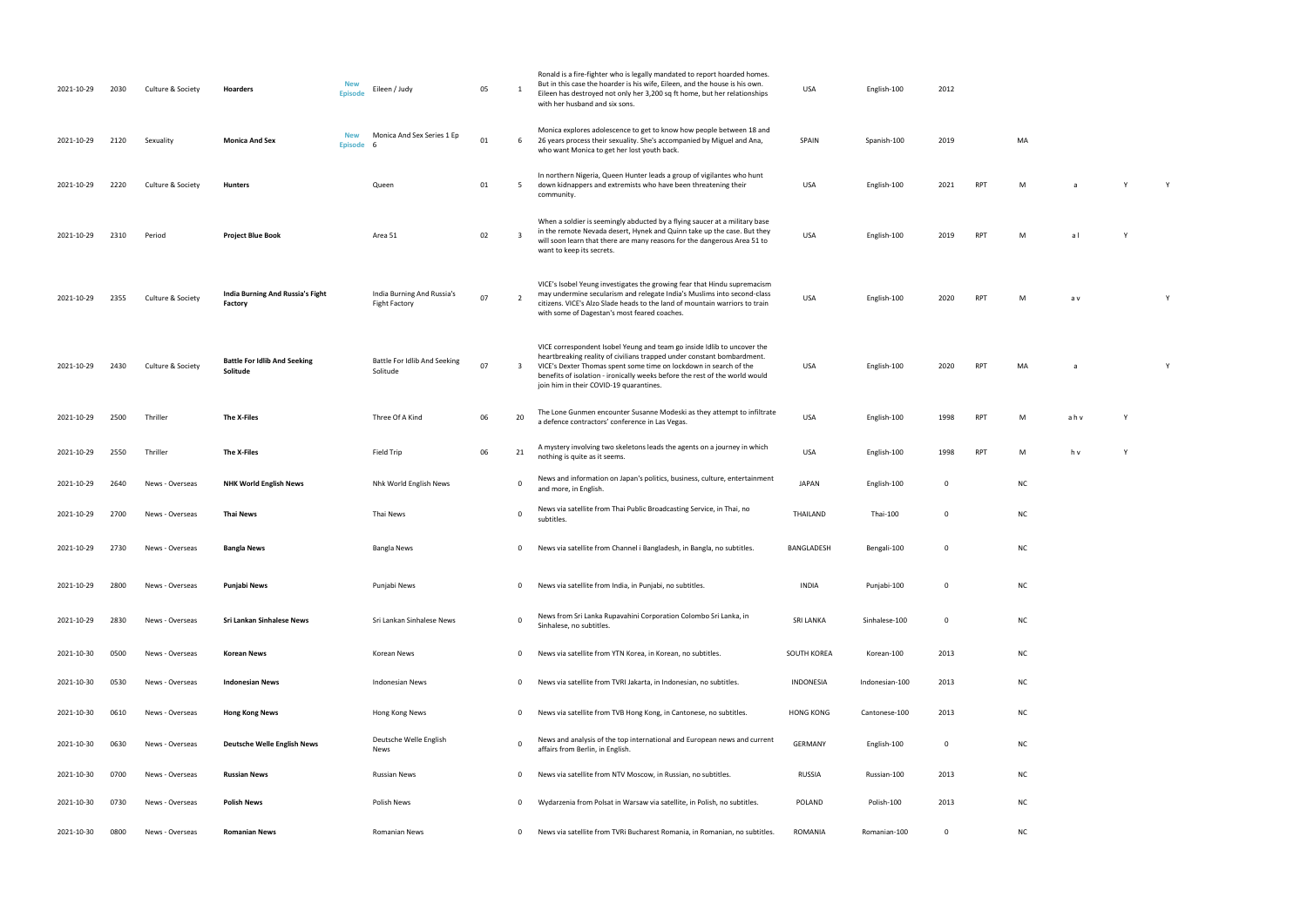USA English-100 2020 RPT M a v Y

PT MA a Wangkara Mare a Y

| 2021-10-29 | 2030 | Culture & Society | Hoarders                                        | <b>New</b><br><b>Episode</b> | Eileen / Judy                                      | 05 | 1                       | Ronald is a fire-fighter who is legally mandated to report hoarded homes.<br>But in this case the hoarder is his wife, Eileen, and the house is his own.<br>Eileen has destroyed not only her 3,200 sq ft home, but her relationships<br>with her husband and six sons.                                                                          | <b>USA</b>       | English-100    | 2012         |            |           |     |
|------------|------|-------------------|-------------------------------------------------|------------------------------|----------------------------------------------------|----|-------------------------|--------------------------------------------------------------------------------------------------------------------------------------------------------------------------------------------------------------------------------------------------------------------------------------------------------------------------------------------------|------------------|----------------|--------------|------------|-----------|-----|
| 2021-10-29 | 2120 | Sexuality         | <b>Monica And Sex</b>                           | <b>New</b><br><b>Episode</b> | Monica And Sex Series 1 Ep<br>- 6                  | 01 | 6                       | Monica explores adolescence to get to know how people between 18 and<br>26 years process their sexuality. She's accompanied by Miguel and Ana,<br>who want Monica to get her lost youth back.                                                                                                                                                    | SPAIN            | Spanish-100    | 2019         |            | MA        |     |
| 2021-10-29 | 2220 | Culture & Society | <b>Hunters</b>                                  |                              | Queen                                              | 01 | 5                       | In northern Nigeria, Queen Hunter leads a group of vigilantes who hunt<br>down kidnappers and extremists who have been threatening their<br>community.                                                                                                                                                                                           | <b>USA</b>       | English-100    | 2021         | <b>RPT</b> | M         | a   |
| 2021-10-29 | 2310 | Period            | <b>Project Blue Book</b>                        |                              | Area 51                                            | 02 | $\overline{\mathbf{3}}$ | When a soldier is seemingly abducted by a flying saucer at a military base<br>in the remote Nevada desert, Hynek and Quinn take up the case. But they<br>will soon learn that there are many reasons for the dangerous Area 51 to<br>want to keep its secrets.                                                                                   | <b>USA</b>       | English-100    | 2019         | <b>RPT</b> | M         | al  |
| 2021-10-29 | 2355 | Culture & Society | India Burning And Russia's Fight<br>Factory     |                              | India Burning And Russia's<br><b>Fight Factory</b> | 07 | $\overline{2}$          | VICE's Isobel Yeung investigates the growing fear that Hindu supremacism<br>may undermine secularism and relegate India's Muslims into second-class<br>citizens. VICE's Alzo Slade heads to the land of mountain warriors to train<br>with some of Dagestan's most feared coaches.                                                               | <b>USA</b>       | English-100    | 2020         | <b>RPT</b> | M         | a v |
| 2021-10-29 | 2430 | Culture & Society | <b>Battle For Idlib And Seeking</b><br>Solitude |                              | Battle For Idlib And Seeking<br>Solitude           | 07 | $\overline{3}$          | VICE correspondent Isobel Yeung and team go inside Idlib to uncover the<br>heartbreaking reality of civilians trapped under constant bombardment.<br>VICE's Dexter Thomas spent some time on lockdown in search of the<br>benefits of isolation - ironically weeks before the rest of the world would<br>join him in their COVID-19 quarantines. | USA              | English-100    | 2020         | <b>RPT</b> | MA        |     |
| 2021-10-29 | 2500 | Thriller          | The X-Files                                     |                              | Three Of A Kind                                    | 06 | 20                      | The Lone Gunmen encounter Susanne Modeski as they attempt to infiltrate<br>a defence contractors' conference in Las Vegas.                                                                                                                                                                                                                       | <b>USA</b>       | English-100    | 1998         | <b>RPT</b> | M         | ahv |
| 2021-10-29 | 2550 | Thriller          | The X-Files                                     |                              | Field Trip                                         | 06 | 21                      | A mystery involving two skeletons leads the agents on a journey in which<br>nothing is quite as it seems.                                                                                                                                                                                                                                        | <b>USA</b>       | English-100    | 1998         | <b>RPT</b> | M         | h v |
| 2021-10-29 | 2640 | News - Overseas   | <b>NHK World English News</b>                   |                              | Nhk World English News                             |    | 0                       | News and information on Japan's politics, business, culture, entertainment<br>and more, in English.                                                                                                                                                                                                                                              | <b>JAPAN</b>     | English-100    | 0            |            | NC        |     |
| 2021-10-29 | 2700 | News - Overseas   | <b>Thai News</b>                                |                              | Thai News                                          |    | $\mathbf 0$             | News via satellite from Thai Public Broadcasting Service, in Thai, no<br>subtitles.                                                                                                                                                                                                                                                              | THAILAND         | Thai-100       | 0            |            | <b>NC</b> |     |
| 2021-10-29 | 2730 | News - Overseas   | <b>Bangla News</b>                              |                              | <b>Bangla News</b>                                 |    | 0                       | News via satellite from Channel i Bangladesh, in Bangla, no subtitles.                                                                                                                                                                                                                                                                           | BANGLADESH       | Bengali-100    | 0            |            | <b>NC</b> |     |
| 2021-10-29 | 2800 | News - Overseas   | Punjabi News                                    |                              | Punjabi News                                       |    | 0                       | News via satellite from India, in Punjabi, no subtitles.                                                                                                                                                                                                                                                                                         | <b>INDIA</b>     | Punjabi-100    | 0            |            | <b>NC</b> |     |
| 2021-10-29 | 2830 | News - Overseas   | Sri Lankan Sinhalese News                       |                              | Sri Lankan Sinhalese News                          |    | 0                       | News from Sri Lanka Rupavahini Corporation Colombo Sri Lanka, in<br>Sinhalese, no subtitles.                                                                                                                                                                                                                                                     | <b>SRI LANKA</b> | Sinhalese-100  | 0            |            | <b>NC</b> |     |
| 2021-10-30 | 0500 | News - Overseas   | <b>Korean News</b>                              |                              | Korean News                                        |    | 0                       | News via satellite from YTN Korea, in Korean, no subtitles.                                                                                                                                                                                                                                                                                      | SOUTH KOREA      | Korean-100     | 2013         |            | <b>NC</b> |     |
| 2021-10-30 | 0530 | News - Overseas   | <b>Indonesian News</b>                          |                              | Indonesian News                                    |    | 0                       | News via satellite from TVRI Jakarta, in Indonesian, no subtitles.                                                                                                                                                                                                                                                                               | INDONESIA        | Indonesian-100 | 2013         |            | <b>NC</b> |     |
| 2021-10-30 | 0610 | News - Overseas   | <b>Hong Kong News</b>                           |                              | Hong Kong News                                     |    | 0                       | News via satellite from TVB Hong Kong, in Cantonese, no subtitles.                                                                                                                                                                                                                                                                               | <b>HONG KONG</b> | Cantonese-100  | 2013         |            | NC        |     |
| 2021-10-30 | 0630 | News - Overseas   | <b>Deutsche Welle English News</b>              |                              | Deutsche Welle English<br>News                     |    | $\mathbf 0$             | News and analysis of the top international and European news and current<br>affairs from Berlin, in English.                                                                                                                                                                                                                                     | GERMANY          | English-100    | 0            |            | <b>NC</b> |     |
| 2021-10-30 | 0700 | News - Overseas   | <b>Russian News</b>                             |                              | <b>Russian News</b>                                |    | 0                       | News via satellite from NTV Moscow, in Russian, no subtitles.                                                                                                                                                                                                                                                                                    | RUSSIA           | Russian-100    | 2013         |            | <b>NC</b> |     |
| 2021-10-30 | 0730 | News - Overseas   | Polish News                                     |                              | Polish News                                        |    | 0                       | Wydarzenia from Polsat in Warsaw via satellite, in Polish, no subtitles.                                                                                                                                                                                                                                                                         | <b>POLAND</b>    | Polish-100     | 2013         |            | <b>NC</b> |     |
| 2021-10-30 | 0800 | News - Overseas   | <b>Romanian News</b>                            |                              | Romanian News                                      |    | $\mathbf 0$             | News via satellite from TVRi Bucharest Romania, in Romanian, no subtitles.                                                                                                                                                                                                                                                                       | ROMANIA          | Romanian-100   | $\mathbf{0}$ |            | <b>NC</b> |     |

| MA |  |  |  |
|----|--|--|--|
|    |  |  |  |
|    |  |  |  |

| M | a              | Υ | Υ |
|---|----------------|---|---|
| M | a <sub>l</sub> | Υ |   |

| <b>RPT</b> | M | ahv | Υ |
|------------|---|-----|---|
|            |   |     |   |

nothing is quite as it seems. USA English-100 V 1998 PM seems. USA English-100 1998 RPT M M h v Y 2009 RPT M h<br>100 1998 RPT M M H v Y 2009 RPT M M H v Y 2009 RPT M M H v 2009 RPT M H v 2009 RPT M M H v 2009 RPT M M H v 20<br>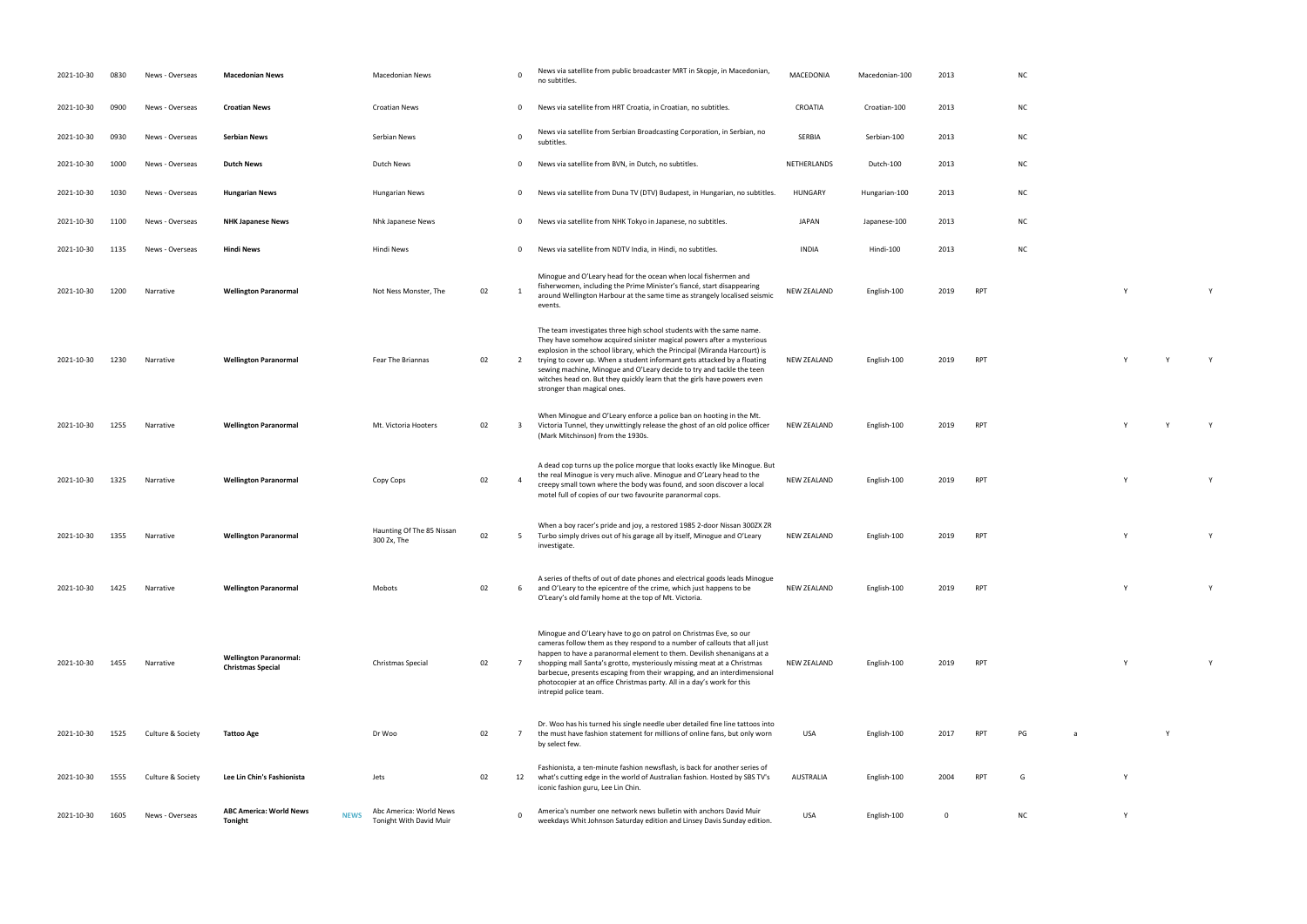| 2021-10-30 | 0830 | News - Overseas   | <b>Macedonian News</b>                                    |             | Macedonian News                                    |    | $\Omega$                | News via satellite from public broadcaster MRT in Skopje, in Macedonian,<br>no subtitles.                                                                                                                                                                                                                                                                                                                                                                                                  | MACEDONIA          | Macedonian-100 | 2013        |            | <b>NC</b> |   |          |              |
|------------|------|-------------------|-----------------------------------------------------------|-------------|----------------------------------------------------|----|-------------------------|--------------------------------------------------------------------------------------------------------------------------------------------------------------------------------------------------------------------------------------------------------------------------------------------------------------------------------------------------------------------------------------------------------------------------------------------------------------------------------------------|--------------------|----------------|-------------|------------|-----------|---|----------|--------------|
| 2021-10-30 | 0900 | News - Overseas   | <b>Croatian News</b>                                      |             | <b>Croatian News</b>                               |    | $\overline{0}$          | News via satellite from HRT Croatia, in Croatian, no subtitles.                                                                                                                                                                                                                                                                                                                                                                                                                            | CROATIA            | Croatian-100   | 2013        |            | <b>NC</b> |   |          |              |
| 2021-10-30 | 0930 | News - Overseas   | <b>Serbian News</b>                                       |             | Serbian News                                       |    | $\overline{0}$          | News via satellite from Serbian Broadcasting Corporation, in Serbian, no<br>subtitles.                                                                                                                                                                                                                                                                                                                                                                                                     | SERBIA             | Serbian-100    | 2013        |            | <b>NC</b> |   |          |              |
| 2021-10-30 | 1000 | News - Overseas   | <b>Dutch News</b>                                         |             | Dutch News                                         |    | $\mathbf 0$             | News via satellite from BVN, in Dutch, no subtitles.                                                                                                                                                                                                                                                                                                                                                                                                                                       | NETHERLANDS        | Dutch-100      | 2013        |            | <b>NC</b> |   |          |              |
| 2021-10-30 | 1030 | News - Overseas   | <b>Hungarian News</b>                                     |             | <b>Hungarian News</b>                              |    | $\mathbf 0$             | News via satellite from Duna TV (DTV) Budapest, in Hungarian, no subtitles.                                                                                                                                                                                                                                                                                                                                                                                                                | <b>HUNGARY</b>     | Hungarian-100  | 2013        |            | <b>NC</b> |   |          |              |
| 2021-10-30 | 1100 | News - Overseas   | <b>NHK Japanese News</b>                                  |             | Nhk Japanese News                                  |    | $\mathbf 0$             | News via satellite from NHK Tokyo in Japanese, no subtitles.                                                                                                                                                                                                                                                                                                                                                                                                                               | JAPAN              | Japanese-100   | 2013        |            | <b>NC</b> |   |          |              |
| 2021-10-30 | 1135 | News - Overseas   | <b>Hindi News</b>                                         |             | Hindi News                                         |    | $\mathbf 0$             | News via satellite from NDTV India, in Hindi, no subtitles.                                                                                                                                                                                                                                                                                                                                                                                                                                | <b>INDIA</b>       | Hindi-100      | 2013        |            | <b>NC</b> |   |          |              |
| 2021-10-30 | 1200 | Narrative         | <b>Wellington Paranormal</b>                              |             | Not Ness Monster, The                              | 02 | <sup>1</sup>            | Minogue and O'Leary head for the ocean when local fishermen and<br>fisherwomen, including the Prime Minister's fiancé, start disappearing<br>around Wellington Harbour at the same time as strangely localised seismic<br>events.                                                                                                                                                                                                                                                          | <b>NEW ZEALAND</b> | English-100    | 2019        | RPT        |           |   | Y        | Y            |
| 2021-10-30 | 1230 | Narrative         | <b>Wellington Paranormal</b>                              |             | Fear The Briannas                                  | 02 | $\overline{2}$          | The team investigates three high school students with the same name.<br>They have somehow acquired sinister magical powers after a mysterious<br>explosion in the school library, which the Principal (Miranda Harcourt) is<br>trying to cover up. When a student informant gets attacked by a floating<br>sewing machine, Minogue and O'Leary decide to try and tackle the teen<br>witches head on. But they quickly learn that the girls have powers even<br>stronger than magical ones. | NEW ZEALAND        | English-100    | 2019        | RPT        |           |   |          | Y            |
| 2021-10-30 | 1255 | Narrative         | <b>Wellington Paranormal</b>                              |             | Mt. Victoria Hooters                               | 02 | $\overline{\mathbf{3}}$ | When Minogue and O'Leary enforce a police ban on hooting in the Mt.<br>Victoria Tunnel, they unwittingly release the ghost of an old police officer<br>(Mark Mitchinson) from the 1930s.                                                                                                                                                                                                                                                                                                   | NEW ZEALAND        | English-100    | 2019        | RPT        |           |   |          | $\mathsf{Y}$ |
| 2021-10-30 | 1325 | Narrative         | <b>Wellington Paranormal</b>                              |             | Copy Cops                                          | 02 | $\overline{4}$          | A dead cop turns up the police morgue that looks exactly like Minogue. But<br>the real Minogue is very much alive. Minogue and O'Leary head to the<br>creepy small town where the body was found, and soon discover a local<br>motel full of copies of our two favourite paranormal cops.                                                                                                                                                                                                  | <b>NEW ZEALAND</b> | English-100    | 2019        | RPT        |           |   |          | Y            |
| 2021-10-30 | 1355 | Narrative         | <b>Wellington Paranormal</b>                              |             | Haunting Of The 85 Nissan<br>300 Zx, The           | 02 | 5                       | When a boy racer's pride and joy, a restored 1985 2-door Nissan 300ZX ZR<br>Turbo simply drives out of his garage all by itself, Minogue and O'Leary<br>investigate.                                                                                                                                                                                                                                                                                                                       | NEW ZEALAND        | English-100    | 2019        | RPT        |           |   |          | Y            |
| 2021-10-30 | 1425 | Narrative         | <b>Wellington Paranormal</b>                              |             | Mobots                                             | 02 | 6                       | A series of thefts of out of date phones and electrical goods leads Minogue<br>and O'Leary to the epicentre of the crime, which just happens to be<br>O'Leary's old family home at the top of Mt. Victoria.                                                                                                                                                                                                                                                                                | <b>NEW ZEALAND</b> | English-100    | 2019        | <b>RPT</b> |           |   | Y        | Y            |
| 2021-10-30 | 1455 | Narrative         | <b>Wellington Paranormal:</b><br><b>Christmas Special</b> |             | Christmas Special                                  | 02 | 7                       | Minogue and O'Leary have to go on patrol on Christmas Eve, so our<br>cameras follow them as they respond to a number of callouts that all just<br>happen to have a paranormal element to them. Devilish shenanigans at a<br>shopping mall Santa's grotto, mysteriously missing meat at a Christmas<br>barbecue, presents escaping from their wrapping, and an interdimensional<br>photocopier at an office Christmas party. All in a day's work for this<br>intrepid police team.          | NEW ZEALAND        | English-100    | 2019        | RPT        |           |   | <b>V</b> | Y            |
| 2021-10-30 | 1525 | Culture & Society | Tattoo Age                                                |             | Dr Woo                                             | 02 | $\overline{7}$          | Dr. Woo has his turned his single needle uber detailed fine line tattoos into<br>the must have fashion statement for millions of online fans, but only worn<br>by select few.                                                                                                                                                                                                                                                                                                              | USA                | English-100    | 2017        | <b>RPT</b> | PG        | a |          |              |
| 2021-10-30 | 1555 | Culture & Society | Lee Lin Chin's Fashionista                                |             | Jets                                               | 02 | 12                      | Fashionista, a ten-minute fashion newsflash, is back for another series of<br>what's cutting edge in the world of Australian fashion. Hosted by SBS TV's<br>iconic fashion guru, Lee Lin Chin.                                                                                                                                                                                                                                                                                             | AUSTRALIA          | English-100    | 2004        | <b>RPT</b> | G         |   | Y        |              |
| 2021-10-30 | 1605 | News - Overseas   | <b>ABC America: World News</b><br>Tonight                 | <b>NEWS</b> | Abc America: World News<br>Tonight With David Muir |    | $\Omega$                | America's number one network news bulletin with anchors David Muir<br>weekdays Whit Johnson Saturday edition and Linsey Davis Sunday edition.                                                                                                                                                                                                                                                                                                                                              | USA                | English-100    | $\mathbf 0$ |            | <b>NC</b> |   | Y        |              |

- 
- 
- 
- 
- 
- 
- 



- Post of the USA English-100 2017 Post of the USA English-100 2017 Post of the USA English-100 2017 Post of the<br>The USA English-100 2017 Post of the USA English-100 2017 Post of the USA English-100 2017 Post of the USA Eng AUSTRALIA English-100 2004 RPT G Y
- white Johnson Saturday edition and Linsey Davis Sunday edition and Linsey Davis Sunday edition. USA English-100 O NC York 100 O NC York 100 NC York 100 O NC York 100 O NC York 100 0 NC York 100 O NC York 100 O NC York 100